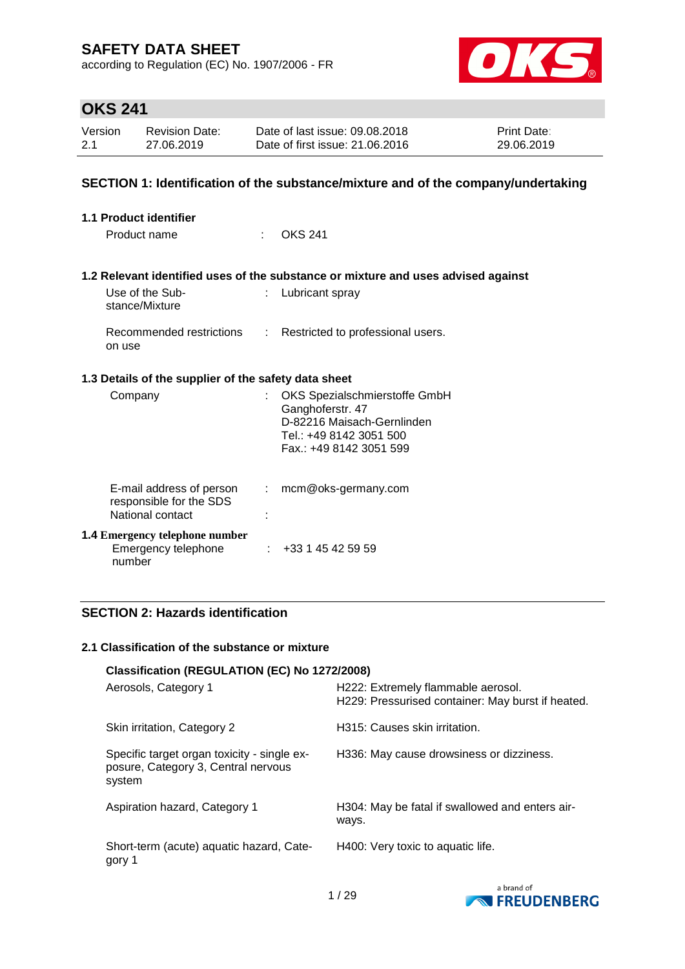according to Regulation (EC) No. 1907/2006 - FR



## **OKS 241**

| Version | <b>Revision Date:</b> | Date of last issue: 09.08.2018  | <b>Print Date:</b> |
|---------|-----------------------|---------------------------------|--------------------|
| 2.1     | 27.06.2019            | Date of first issue: 21,06,2016 | 29.06.2019         |

### **SECTION 1: Identification of the substance/mixture and of the company/undertaking**

| 1.1 Product identifier |                                                                        |    |                                                                                                                                       |  |  |
|------------------------|------------------------------------------------------------------------|----|---------------------------------------------------------------------------------------------------------------------------------------|--|--|
|                        | Product name                                                           | t. | <b>OKS 241</b>                                                                                                                        |  |  |
|                        |                                                                        |    |                                                                                                                                       |  |  |
|                        |                                                                        |    | 1.2 Relevant identified uses of the substance or mixture and uses advised against                                                     |  |  |
|                        | Use of the Sub-<br>stance/Mixture                                      | t. | Lubricant spray                                                                                                                       |  |  |
|                        | Recommended restrictions<br>on use                                     |    | : Restricted to professional users.                                                                                                   |  |  |
|                        | 1.3 Details of the supplier of the safety data sheet                   |    |                                                                                                                                       |  |  |
|                        | Company                                                                | t. | OKS Spezialschmierstoffe GmbH<br>Ganghoferstr. 47<br>D-82216 Maisach-Gernlinden<br>Tel.: +49 8142 3051 500<br>Fax.: +49 8142 3051 599 |  |  |
|                        |                                                                        |    |                                                                                                                                       |  |  |
|                        | E-mail address of person<br>responsible for the SDS                    |    | : mcm@oks-germany.com                                                                                                                 |  |  |
|                        | National contact                                                       |    |                                                                                                                                       |  |  |
|                        | <b>1.4 Emergency telephone number</b><br>Emergency telephone<br>number |    | $\div$ +33 1 45 42 59 59                                                                                                              |  |  |

## **SECTION 2: Hazards identification**

### **2.1 Classification of the substance or mixture**

|                                                                                              | Classification (REGULATION (EC) No 1272/2008)                                           |  |  |  |  |  |
|----------------------------------------------------------------------------------------------|-----------------------------------------------------------------------------------------|--|--|--|--|--|
| Aerosols, Category 1                                                                         | H222: Extremely flammable aerosol.<br>H229: Pressurised container: May burst if heated. |  |  |  |  |  |
| Skin irritation, Category 2                                                                  | H315: Causes skin irritation.                                                           |  |  |  |  |  |
| Specific target organ toxicity - single ex-<br>posure, Category 3, Central nervous<br>system | H336: May cause drowsiness or dizziness.                                                |  |  |  |  |  |
| Aspiration hazard, Category 1                                                                | H304: May be fatal if swallowed and enters air-<br>ways.                                |  |  |  |  |  |
| Short-term (acute) aquatic hazard, Cate-<br>gory 1                                           | H400: Very toxic to aquatic life.                                                       |  |  |  |  |  |

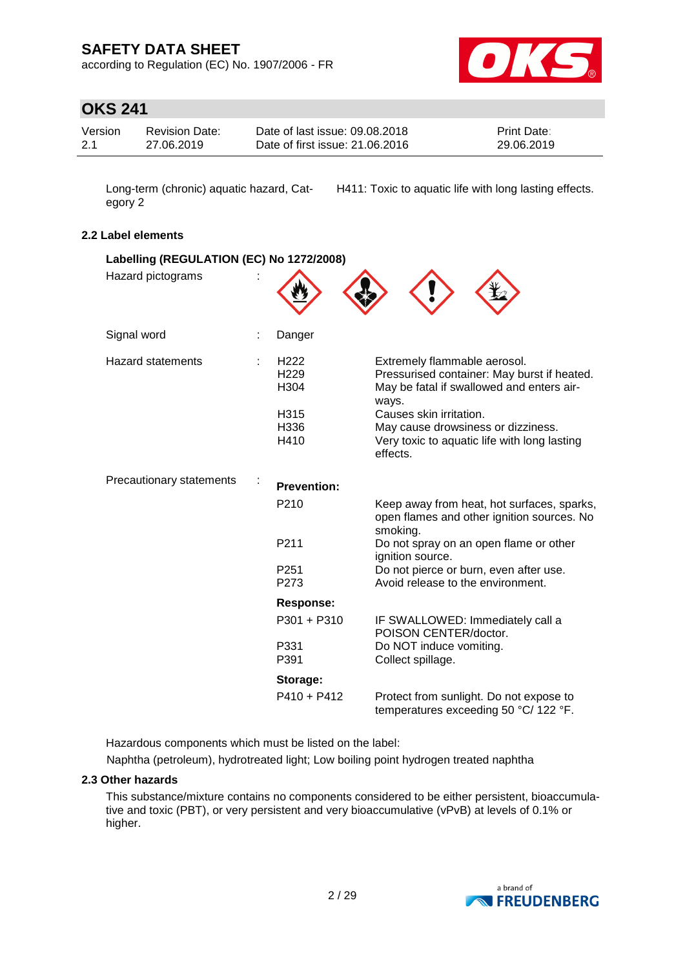according to Regulation (EC) No. 1907/2006 - FR



## **OKS 241**

| Version | <b>Revision Date:</b> | Date of last issue: 09.08.2018  | <b>Print Date:</b> |
|---------|-----------------------|---------------------------------|--------------------|
| 2.1     | 27.06.2019            | Date of first issue: 21.06.2016 | 29.06.2019         |

Long-term (chronic) aquatic hazard, Category 2

H411: Toxic to aquatic life with long lasting effects.

### **2.2 Label elements**

| Labelling (REGULATION (EC) No 1272/2008) |                                              |                                                                                                                                   |
|------------------------------------------|----------------------------------------------|-----------------------------------------------------------------------------------------------------------------------------------|
| Hazard pictograms                        |                                              |                                                                                                                                   |
| Signal word                              | Danger                                       |                                                                                                                                   |
| <b>Hazard statements</b>                 | H <sub>222</sub><br>H <sub>229</sub><br>H304 | Extremely flammable aerosol.<br>Pressurised container: May burst if heated.<br>May be fatal if swallowed and enters air-<br>ways. |
|                                          | H315<br>H336<br>H410                         | Causes skin irritation.<br>May cause drowsiness or dizziness.<br>Very toxic to aquatic life with long lasting<br>effects.         |
| Precautionary statements                 | <b>Prevention:</b>                           |                                                                                                                                   |
|                                          | P210                                         | Keep away from heat, hot surfaces, sparks,<br>open flames and other ignition sources. No<br>smoking.                              |
|                                          | P211                                         | Do not spray on an open flame or other<br>ignition source.                                                                        |
|                                          | P251<br>P273                                 | Do not pierce or burn, even after use.<br>Avoid release to the environment.                                                       |
|                                          | Response:                                    |                                                                                                                                   |
|                                          | P301 + P310                                  | IF SWALLOWED: Immediately call a<br>POISON CENTER/doctor.                                                                         |
|                                          | P331<br>P391                                 | Do NOT induce vomiting.<br>Collect spillage.                                                                                      |
|                                          | Storage:                                     |                                                                                                                                   |
|                                          | $P410 + P412$                                | Protect from sunlight. Do not expose to<br>temperatures exceeding 50 °C/ 122 °F.                                                  |

Hazardous components which must be listed on the label:

Naphtha (petroleum), hydrotreated light; Low boiling point hydrogen treated naphtha

### **2.3 Other hazards**

This substance/mixture contains no components considered to be either persistent, bioaccumulative and toxic (PBT), or very persistent and very bioaccumulative (vPvB) at levels of 0.1% or higher.

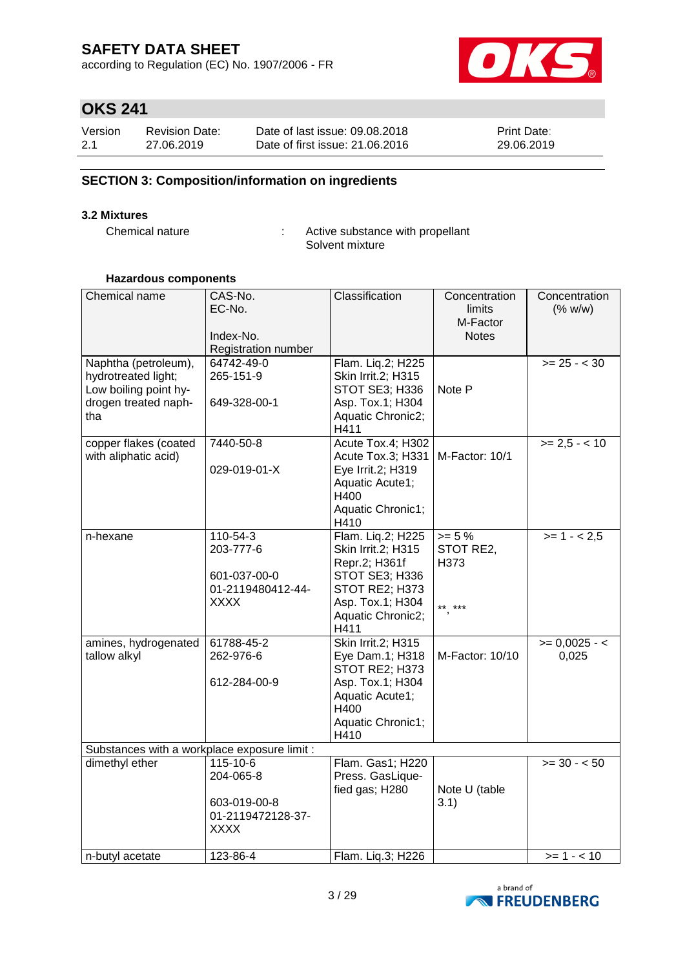according to Regulation (EC) No. 1907/2006 - FR



# **OKS 241**

| Version | <b>Revision Date:</b> | Date of last issue: 09.08.2018  | <b>Print Date:</b> |
|---------|-----------------------|---------------------------------|--------------------|
| 2.1     | 27.06.2019            | Date of first issue: 21,06,2016 | 29.06.2019         |

## **SECTION 3: Composition/information on ingredients**

### **3.2 Mixtures**

Chemical nature : Active substance with propellant Solvent mixture

### **Hazardous components**

| Chemical name                                | CAS-No.             | Classification                      | Concentration   | Concentration   |
|----------------------------------------------|---------------------|-------------------------------------|-----------------|-----------------|
|                                              | EC-No.              |                                     | limits          | (% w/w)         |
|                                              |                     |                                     | M-Factor        |                 |
|                                              | Index-No.           |                                     | <b>Notes</b>    |                 |
|                                              | Registration number |                                     |                 |                 |
| Naphtha (petroleum),                         | 64742-49-0          | Flam. Liq.2; H225                   |                 | $>= 25 - < 30$  |
| hydrotreated light;                          | 265-151-9           | Skin Irrit.2; H315                  |                 |                 |
| Low boiling point hy-                        |                     | STOT SE3; H336                      | Note P          |                 |
| drogen treated naph-                         | 649-328-00-1        | Asp. Tox.1; H304                    |                 |                 |
| tha                                          |                     | Aquatic Chronic2;                   |                 |                 |
|                                              |                     | H411                                |                 |                 |
| copper flakes (coated                        | 7440-50-8           | Acute Tox.4; H302                   |                 | $>= 2.5 - 10$   |
| with aliphatic acid)                         |                     | Acute Tox.3; H331                   | M-Factor: 10/1  |                 |
|                                              | 029-019-01-X        | Eye Irrit.2; H319                   |                 |                 |
|                                              |                     | Aquatic Acute1;                     |                 |                 |
|                                              |                     | H400                                |                 |                 |
|                                              |                     | Aquatic Chronic1;                   |                 |                 |
|                                              | 110-54-3            | H410                                | $>= 5%$         |                 |
| n-hexane                                     | 203-777-6           | Flam. Liq.2; H225                   | STOT RE2,       | $>= 1 - 2.5$    |
|                                              |                     | Skin Irrit.2; H315<br>Repr.2; H361f | H373            |                 |
|                                              | 601-037-00-0        | STOT SE3; H336                      |                 |                 |
|                                              | 01-2119480412-44-   | STOT RE2; H373                      |                 |                 |
|                                              | XXXX                | Asp. Tox.1; H304                    |                 |                 |
|                                              |                     | Aquatic Chronic2;                   | ** ***          |                 |
|                                              |                     | H411                                |                 |                 |
| amines, hydrogenated                         | 61788-45-2          | Skin Irrit.2; H315                  |                 | $>= 0,0025 - 1$ |
| tallow alkyl                                 | 262-976-6           | Eye Dam.1; H318                     | M-Factor: 10/10 | 0,025           |
|                                              |                     | STOT RE2; H373                      |                 |                 |
|                                              | 612-284-00-9        | Asp. Tox.1; H304                    |                 |                 |
|                                              |                     | Aquatic Acute1;                     |                 |                 |
|                                              |                     | H400                                |                 |                 |
|                                              |                     | Aquatic Chronic1;                   |                 |                 |
|                                              |                     | H410                                |                 |                 |
| Substances with a workplace exposure limit : |                     |                                     |                 |                 |
| dimethyl ether                               | 115-10-6            | Flam. Gas1; H220                    |                 | $>=$ 30 - < 50  |
|                                              | 204-065-8           | Press. GasLique-                    |                 |                 |
|                                              |                     | fied gas; H280                      | Note U (table   |                 |
|                                              | 603-019-00-8        |                                     | 3.1)            |                 |
|                                              | 01-2119472128-37-   |                                     |                 |                 |
|                                              | <b>XXXX</b>         |                                     |                 |                 |
|                                              |                     |                                     |                 |                 |
| n-butyl acetate                              | 123-86-4            | Flam. Liq.3; H226                   |                 | $>= 1 - 10$     |

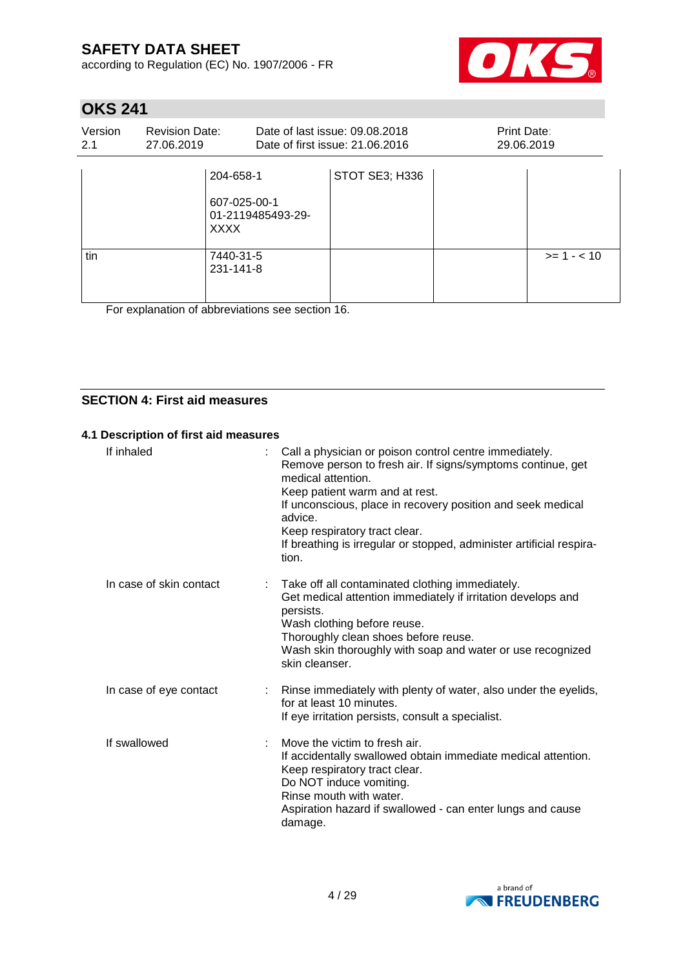according to Regulation (EC) No. 1907/2006 - FR



# **OKS 241**

| Version<br>2.1 | <b>Revision Date:</b><br>27.06.2019 |                                                               | Date of last issue: 09.08.2018<br>Date of first issue: 21.06.2016 | Print Date:<br>29.06.2019 |             |
|----------------|-------------------------------------|---------------------------------------------------------------|-------------------------------------------------------------------|---------------------------|-------------|
|                |                                     | 204-658-1<br>607-025-00-1<br>01-2119485493-29-<br><b>XXXX</b> | STOT SE3; H336                                                    |                           |             |
| tin            |                                     | 7440-31-5<br>231-141-8                                        |                                                                   |                           | $>= 1 - 10$ |

For explanation of abbreviations see section 16.

## **SECTION 4: First aid measures**

### **4.1 Description of first aid measures**

| If inhaled              |    | Call a physician or poison control centre immediately.<br>Remove person to fresh air. If signs/symptoms continue, get<br>medical attention.<br>Keep patient warm and at rest.<br>If unconscious, place in recovery position and seek medical<br>advice.<br>Keep respiratory tract clear.<br>If breathing is irregular or stopped, administer artificial respira-<br>tion. |
|-------------------------|----|---------------------------------------------------------------------------------------------------------------------------------------------------------------------------------------------------------------------------------------------------------------------------------------------------------------------------------------------------------------------------|
| In case of skin contact |    | Take off all contaminated clothing immediately.<br>Get medical attention immediately if irritation develops and<br>persists.<br>Wash clothing before reuse.<br>Thoroughly clean shoes before reuse.<br>Wash skin thoroughly with soap and water or use recognized<br>skin cleanser.                                                                                       |
| In case of eye contact  |    | : Rinse immediately with plenty of water, also under the eyelids,<br>for at least 10 minutes.<br>If eye irritation persists, consult a specialist.                                                                                                                                                                                                                        |
| If swallowed            | ÷. | Move the victim to fresh air.<br>If accidentally swallowed obtain immediate medical attention.<br>Keep respiratory tract clear.<br>Do NOT induce vomiting.<br>Rinse mouth with water.<br>Aspiration hazard if swallowed - can enter lungs and cause<br>damage.                                                                                                            |

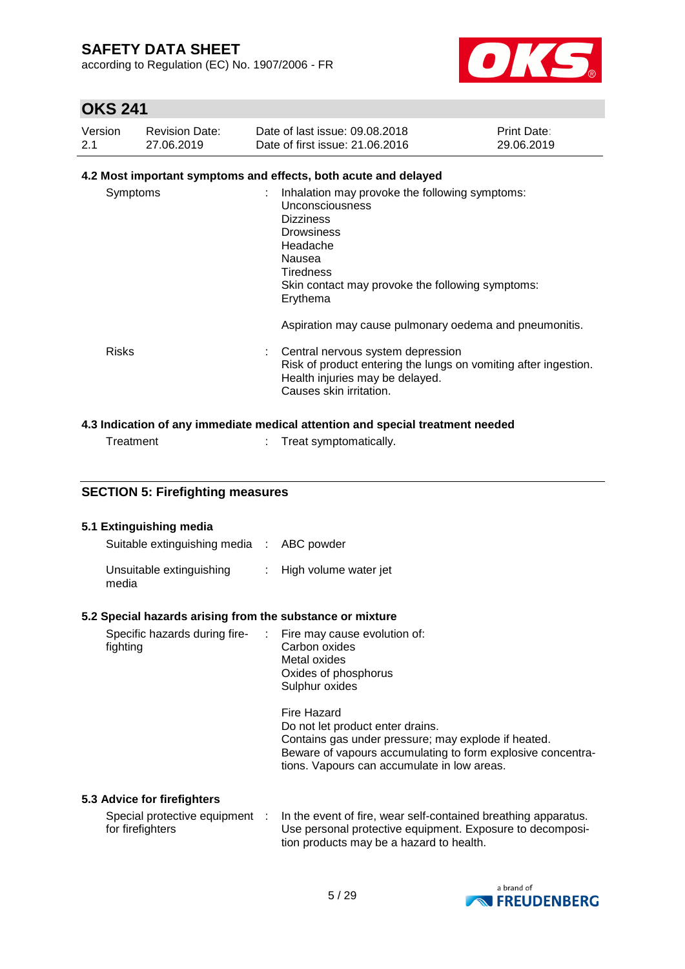according to Regulation (EC) No. 1907/2006 - FR



## **OKS 241**

| Version | <b>Revision Date:</b> | Date of last issue: 09.08.2018  | <b>Print Date:</b> |
|---------|-----------------------|---------------------------------|--------------------|
| 2.1     | 27.06.2019            | Date of first issue: 21,06,2016 | 29.06.2019         |

## **4.2 Most important symptoms and effects, both acute and delayed**

| Symptoms     | Inhalation may provoke the following symptoms:<br>Unconsciousness<br><b>Dizziness</b><br><b>Drowsiness</b><br>Headache<br>Nausea<br>Tiredness<br>Skin contact may provoke the following symptoms:<br>Erythema |
|--------------|---------------------------------------------------------------------------------------------------------------------------------------------------------------------------------------------------------------|
|              | Aspiration may cause pulmonary oedema and pneumonitis.                                                                                                                                                        |
| <b>Risks</b> | Central nervous system depression<br>Risk of product entering the lungs on vomiting after ingestion.<br>Health injuries may be delayed.<br>Causes skin irritation.                                            |

## **4.3 Indication of any immediate medical attention and special treatment needed**

| Treatment | Treat symptomatically. |
|-----------|------------------------|
|           |                        |

### **SECTION 5: Firefighting measures**

| 5.1 Extinguishing media<br>Suitable extinguishing media : ABC powder     |                                                                                                                                                                                                                                                                                                 |
|--------------------------------------------------------------------------|-------------------------------------------------------------------------------------------------------------------------------------------------------------------------------------------------------------------------------------------------------------------------------------------------|
| Unsuitable extinguishing<br>media                                        | : High volume water jet                                                                                                                                                                                                                                                                         |
| 5.2 Special hazards arising from the substance or mixture                |                                                                                                                                                                                                                                                                                                 |
| Specific hazards during fire- : Fire may cause evolution of:<br>fighting | Carbon oxides<br>Metal oxides<br>Oxides of phosphorus<br>Sulphur oxides<br>Fire Hazard<br>Do not let product enter drains.<br>Contains gas under pressure; may explode if heated.<br>Beware of vapours accumulating to form explosive concentra-<br>tions. Vapours can accumulate in low areas. |
| 5.3 Advice for firefighters                                              |                                                                                                                                                                                                                                                                                                 |
| Special protective equipment :<br>for firefighters                       | In the event of fire, wear self-contained breathing apparatus.<br>Use personal protective equipment. Exposure to decomposi-<br>tion products may be a hazard to health.                                                                                                                         |

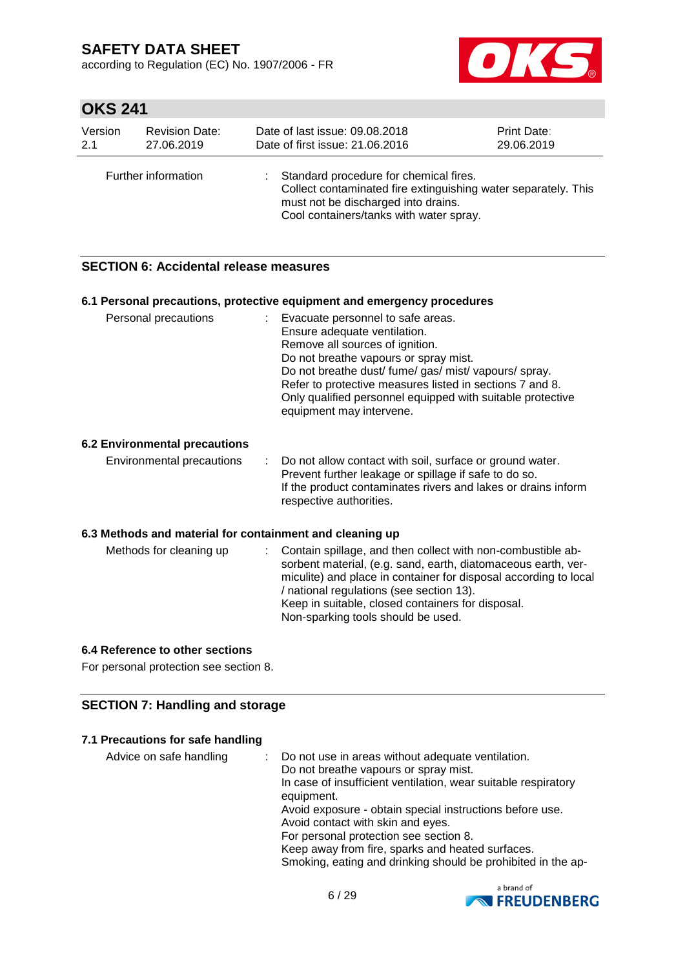according to Regulation (EC) No. 1907/2006 - FR



# **OKS 241**

| Version<br><b>Revision Date:</b><br>27.06.2019<br>2.1 |  | Date of last issue: 09.08.2018<br>Date of first issue: 21.06.2016                                                                                                                          | Print Date:<br>29.06.2019 |
|-------------------------------------------------------|--|--------------------------------------------------------------------------------------------------------------------------------------------------------------------------------------------|---------------------------|
| Further information                                   |  | Standard procedure for chemical fires.<br>Collect contaminated fire extinguishing water separately. This<br>must not be discharged into drains.<br>Cool containers/tanks with water spray. |                           |

### **SECTION 6: Accidental release measures**

| 6.1 Personal precautions, protective equipment and emergency procedures                                                                                                                                                                                                                                                                                   |
|-----------------------------------------------------------------------------------------------------------------------------------------------------------------------------------------------------------------------------------------------------------------------------------------------------------------------------------------------------------|
| : Evacuate personnel to safe areas.<br>Ensure adequate ventilation.<br>Remove all sources of ignition.<br>Do not breathe vapours or spray mist.<br>Do not breathe dust/fume/gas/mist/vapours/spray.<br>Refer to protective measures listed in sections 7 and 8.<br>Only qualified personnel equipped with suitable protective<br>equipment may intervene. |
|                                                                                                                                                                                                                                                                                                                                                           |
| Do not allow contact with soil, surface or ground water.<br>Prevent further leakage or spillage if safe to do so.<br>If the product contaminates rivers and lakes or drains inform<br>respective authorities.                                                                                                                                             |
| 6.3 Methods and material for containment and cleaning up                                                                                                                                                                                                                                                                                                  |
| Contain spillage, and then collect with non-combustible ab-<br>sorbent material, (e.g. sand, earth, diatomaceous earth, ver-<br>miculite) and place in container for disposal according to local<br>/ national regulations (see section 13).<br>Keep in suitable, closed containers for disposal.<br>Non-sparking tools should be used.                   |
|                                                                                                                                                                                                                                                                                                                                                           |

### **6.4 Reference to other sections**

For personal protection see section 8.

## **SECTION 7: Handling and storage**

### **7.1 Precautions for safe handling**

| Advice on safe handling | : Do not use in areas without adequate ventilation.<br>Do not breathe vapours or spray mist.<br>In case of insufficient ventilation, wear suitable respiratory<br>equipment.<br>Avoid exposure - obtain special instructions before use.<br>Avoid contact with skin and eyes.<br>For personal protection see section 8. |
|-------------------------|-------------------------------------------------------------------------------------------------------------------------------------------------------------------------------------------------------------------------------------------------------------------------------------------------------------------------|
|                         | Keep away from fire, sparks and heated surfaces.                                                                                                                                                                                                                                                                        |
|                         | Smoking, eating and drinking should be prohibited in the ap-                                                                                                                                                                                                                                                            |

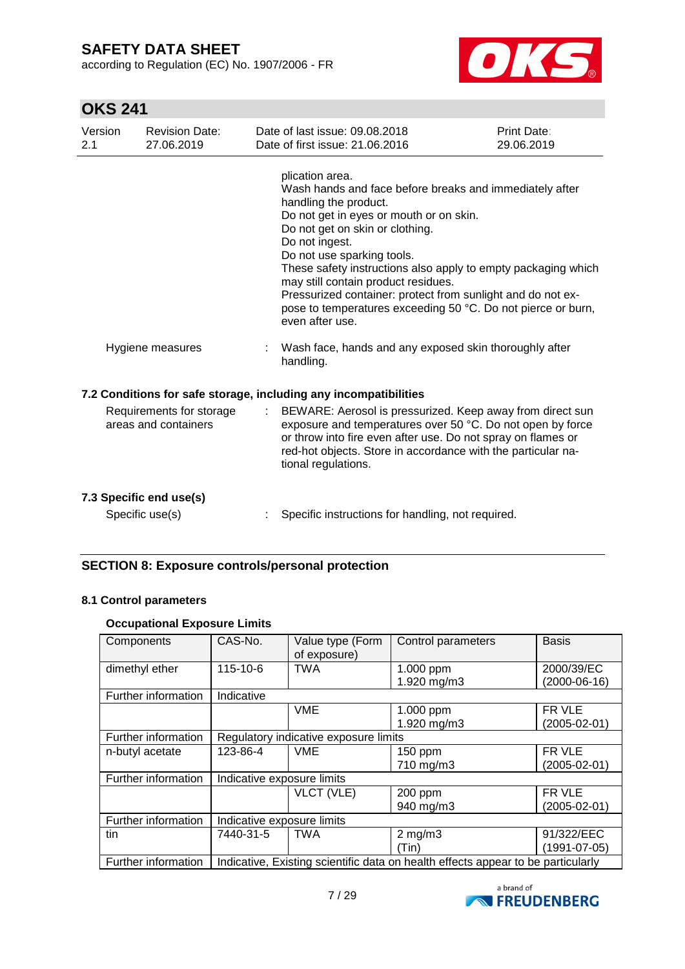according to Regulation (EC) No. 1907/2006 - FR



# **OKS 241**

| Version<br>2.1 | <b>Revision Date:</b><br>27.06.2019              |                           | Date of last issue: 09.08.2018<br>Date of first issue: 21.06.2016                                                                                                                                                                                                                                                                                                                                                                                                                           | Print Date:<br>29.06.2019 |
|----------------|--------------------------------------------------|---------------------------|---------------------------------------------------------------------------------------------------------------------------------------------------------------------------------------------------------------------------------------------------------------------------------------------------------------------------------------------------------------------------------------------------------------------------------------------------------------------------------------------|---------------------------|
|                |                                                  |                           | plication area.<br>Wash hands and face before breaks and immediately after<br>handling the product.<br>Do not get in eyes or mouth or on skin.<br>Do not get on skin or clothing.<br>Do not ingest.<br>Do not use sparking tools.<br>These safety instructions also apply to empty packaging which<br>may still contain product residues.<br>Pressurized container: protect from sunlight and do not ex-<br>pose to temperatures exceeding 50 °C. Do not pierce or burn,<br>even after use. |                           |
|                | Hygiene measures                                 |                           | Wash face, hands and any exposed skin thoroughly after<br>handling.                                                                                                                                                                                                                                                                                                                                                                                                                         |                           |
|                |                                                  |                           | 7.2 Conditions for safe storage, including any incompatibilities                                                                                                                                                                                                                                                                                                                                                                                                                            |                           |
|                | Requirements for storage<br>areas and containers | $\mathbb{R}^{\mathbb{Z}}$ | BEWARE: Aerosol is pressurized. Keep away from direct sun<br>exposure and temperatures over 50 °C. Do not open by force<br>or throw into fire even after use. Do not spray on flames or<br>red-hot objects. Store in accordance with the particular na-<br>tional regulations.                                                                                                                                                                                                              |                           |
|                | 7.3 Specific end use(s)<br>Specific use(s)       |                           | Specific instructions for handling, not required.                                                                                                                                                                                                                                                                                                                                                                                                                                           |                           |

## **SECTION 8: Exposure controls/personal protection**

### **8.1 Control parameters**

### **Occupational Exposure Limits**

| Components                                                                                              | CAS-No.                               | Value type (Form<br>of exposure) | Control parameters | <b>Basis</b>       |
|---------------------------------------------------------------------------------------------------------|---------------------------------------|----------------------------------|--------------------|--------------------|
| dimethyl ether                                                                                          | 115-10-6                              | <b>TWA</b>                       | 1.000 ppm          | 2000/39/EC         |
|                                                                                                         |                                       |                                  | 1.920 mg/m3        | $(2000-06-16)$     |
| Further information                                                                                     | Indicative                            |                                  |                    |                    |
|                                                                                                         |                                       | <b>VME</b>                       | 1.000 ppm          | FR VLE             |
|                                                                                                         |                                       |                                  | 1.920 mg/m3        | $(2005 - 02 - 01)$ |
| Further information                                                                                     | Regulatory indicative exposure limits |                                  |                    |                    |
| n-butyl acetate                                                                                         | 123-86-4                              | <b>VME</b>                       | $150$ ppm          | FR VLE             |
|                                                                                                         |                                       |                                  | 710 mg/m3          | $(2005 - 02 - 01)$ |
| Further information                                                                                     | Indicative exposure limits            |                                  |                    |                    |
|                                                                                                         |                                       | VLCT (VLE)                       | 200 ppm            | FR VLE             |
|                                                                                                         |                                       |                                  | 940 mg/m3          | $(2005 - 02 - 01)$ |
| Further information                                                                                     | Indicative exposure limits            |                                  |                    |                    |
| tin                                                                                                     | 7440-31-5                             | <b>TWA</b>                       | $2$ mg/m $3$       | 91/322/EEC         |
|                                                                                                         |                                       |                                  | (Tin)              | $(1991 - 07 - 05)$ |
| Indicative, Existing scientific data on health effects appear to be particularly<br>Further information |                                       |                                  |                    |                    |

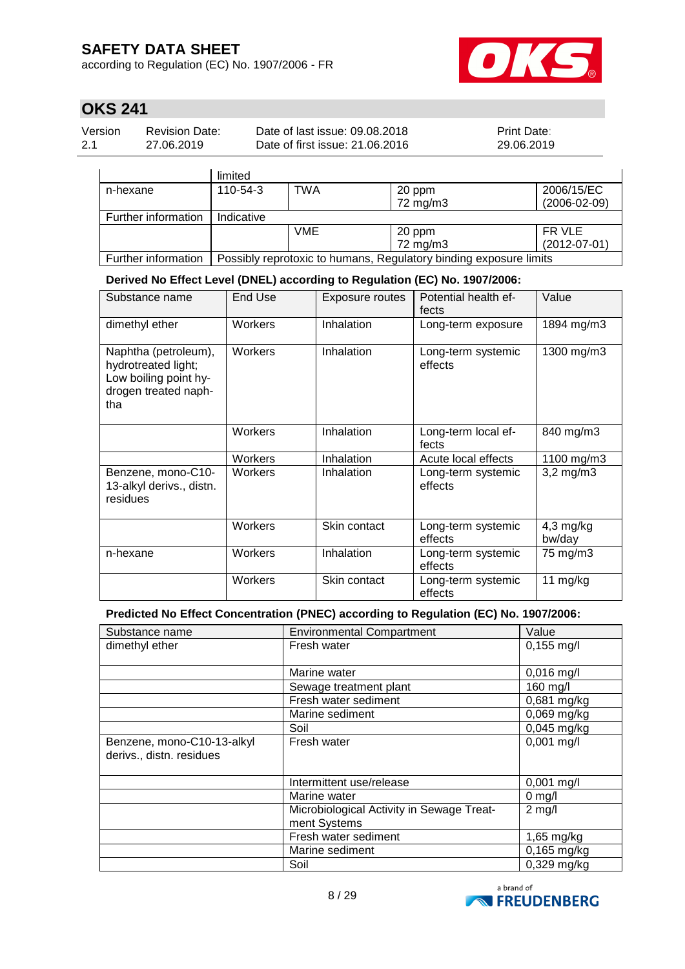according to Regulation (EC) No. 1907/2006 - FR



# **OKS 241**

| Version | <b>Revision Date:</b> | Date of last issue: 09.08.2018  | <b>Print Date:</b> |
|---------|-----------------------|---------------------------------|--------------------|
| 2.1     | 27.06.2019            | Date of first issue: 21.06.2016 | 29.06.2019         |

|                     | limited                                                           |            |                    |                                  |
|---------------------|-------------------------------------------------------------------|------------|--------------------|----------------------------------|
| n-hexane            | 110-54-3                                                          | TWA        | 20 ppm<br>72 mg/m3 | 2006/15/EC<br>$(2006 - 02 - 09)$ |
|                     |                                                                   |            |                    |                                  |
| Further information | Indicative                                                        |            |                    |                                  |
|                     |                                                                   | <b>VME</b> | 20 ppm             | FR VLE                           |
|                     |                                                                   |            | 72 mg/m3           | $(2012-07-01)$                   |
| Further information | Possibly reprotoxic to humans, Regulatory binding exposure limits |            |                    |                                  |

**Derived No Effect Level (DNEL) according to Regulation (EC) No. 1907/2006:**

| Substance name                                                                                      | <b>End Use</b> | <b>Exposure routes</b> | Potential health ef-<br>fects | Value                 |
|-----------------------------------------------------------------------------------------------------|----------------|------------------------|-------------------------------|-----------------------|
| dimethyl ether                                                                                      | Workers        | Inhalation             | Long-term exposure            | 1894 mg/m3            |
| Naphtha (petroleum),<br>hydrotreated light;<br>Low boiling point hy-<br>drogen treated naph-<br>tha | Workers        | Inhalation             | Long-term systemic<br>effects | 1300 mg/m3            |
|                                                                                                     | Workers        | Inhalation             | Long-term local ef-<br>fects  | 840 mg/m3             |
|                                                                                                     | Workers        | Inhalation             | Acute local effects           | 1100 mg/m3            |
| Benzene, mono-C10-<br>13-alkyl derivs., distn.<br>residues                                          | Workers        | Inhalation             | Long-term systemic<br>effects | $3,2$ mg/m $3$        |
|                                                                                                     | Workers        | Skin contact           | Long-term systemic<br>effects | $4,3$ mg/kg<br>bw/day |
| n-hexane                                                                                            | Workers        | Inhalation             | Long-term systemic<br>effects | 75 mg/m3              |
|                                                                                                     | Workers        | Skin contact           | Long-term systemic<br>effects | 11 $mg/kg$            |

### **Predicted No Effect Concentration (PNEC) according to Regulation (EC) No. 1907/2006:**

| Substance name             | <b>Environmental Compartment</b>          | Value        |
|----------------------------|-------------------------------------------|--------------|
| dimethyl ether             | Fresh water                               | $0,155$ mg/l |
|                            |                                           |              |
|                            | Marine water                              | $0,016$ mg/l |
|                            | Sewage treatment plant                    | 160 mg/l     |
|                            | Fresh water sediment                      | 0,681 mg/kg  |
|                            | Marine sediment                           | 0,069 mg/kg  |
|                            | Soil                                      | 0,045 mg/kg  |
| Benzene, mono-C10-13-alkyl | Fresh water                               | $0,001$ mg/l |
| derivs., distn. residues   |                                           |              |
|                            |                                           |              |
|                            | Intermittent use/release                  | $0,001$ mg/l |
|                            | Marine water                              | $0$ mg/l     |
|                            | Microbiological Activity in Sewage Treat- | $2$ mg/l     |
|                            | ment Systems                              |              |
|                            | Fresh water sediment                      | 1,65 mg/kg   |
|                            | Marine sediment                           | 0,165 mg/kg  |
|                            | Soil                                      | 0,329 mg/kg  |

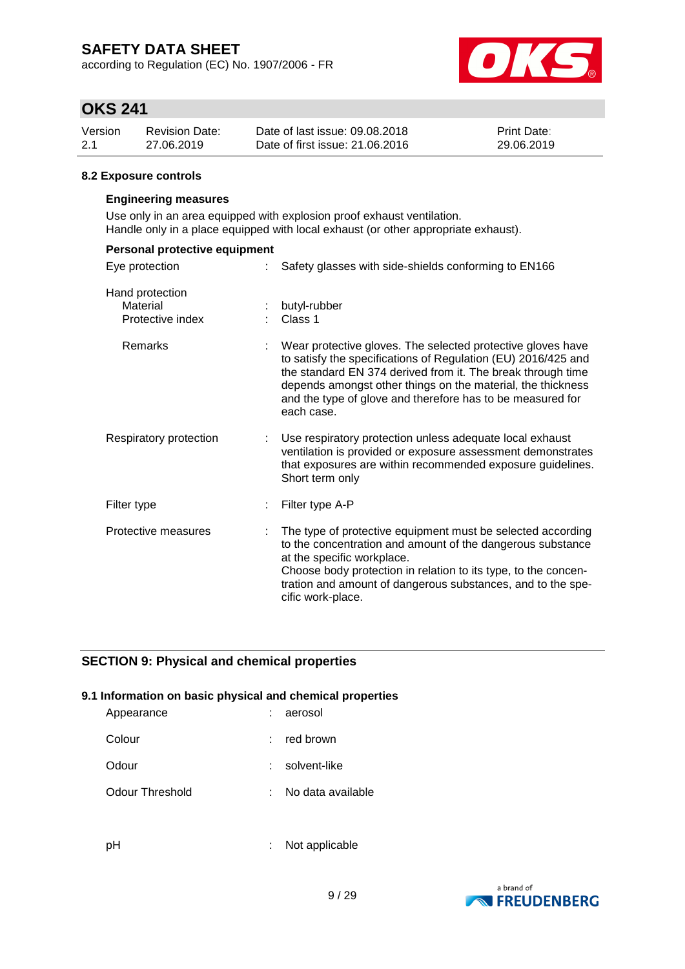according to Regulation (EC) No. 1907/2006 - FR



## **OKS 241**

| Version | <b>Revision Date:</b> | Date of last issue: 09.08.2018  | <b>Print Date:</b> |
|---------|-----------------------|---------------------------------|--------------------|
| 2.1     | 27.06.2019            | Date of first issue: 21,06,2016 | 29.06.2019         |

### **8.2 Exposure controls**

#### **Engineering measures**

Use only in an area equipped with explosion proof exhaust ventilation. Handle only in a place equipped with local exhaust (or other appropriate exhaust).

| Personal protective equipment                   |   |                                                                                                                                                                                                                                                                                                                                        |
|-------------------------------------------------|---|----------------------------------------------------------------------------------------------------------------------------------------------------------------------------------------------------------------------------------------------------------------------------------------------------------------------------------------|
| Eye protection                                  |   | Safety glasses with side-shields conforming to EN166                                                                                                                                                                                                                                                                                   |
| Hand protection<br>Material<br>Protective index |   | butyl-rubber<br>Class 1                                                                                                                                                                                                                                                                                                                |
| Remarks                                         |   | Wear protective gloves. The selected protective gloves have<br>to satisfy the specifications of Regulation (EU) 2016/425 and<br>the standard EN 374 derived from it. The break through time<br>depends amongst other things on the material, the thickness<br>and the type of glove and therefore has to be measured for<br>each case. |
| Respiratory protection                          | ÷ | Use respiratory protection unless adequate local exhaust<br>ventilation is provided or exposure assessment demonstrates<br>that exposures are within recommended exposure guidelines.<br>Short term only                                                                                                                               |
| Filter type                                     |   | Filter type A-P                                                                                                                                                                                                                                                                                                                        |
| Protective measures                             |   | The type of protective equipment must be selected according<br>to the concentration and amount of the dangerous substance<br>at the specific workplace.<br>Choose body protection in relation to its type, to the concen-<br>tration and amount of dangerous substances, and to the spe-<br>cific work-place.                          |

### **SECTION 9: Physical and chemical properties**

### **9.1 Information on basic physical and chemical properties**

| Appearance      | ÷  | aerosol           |
|-----------------|----|-------------------|
| Colour          | t. | red brown         |
| Odour           | t. | solvent-like      |
| Odour Threshold | t. | No data available |
|                 |    |                   |

pH : Not applicable

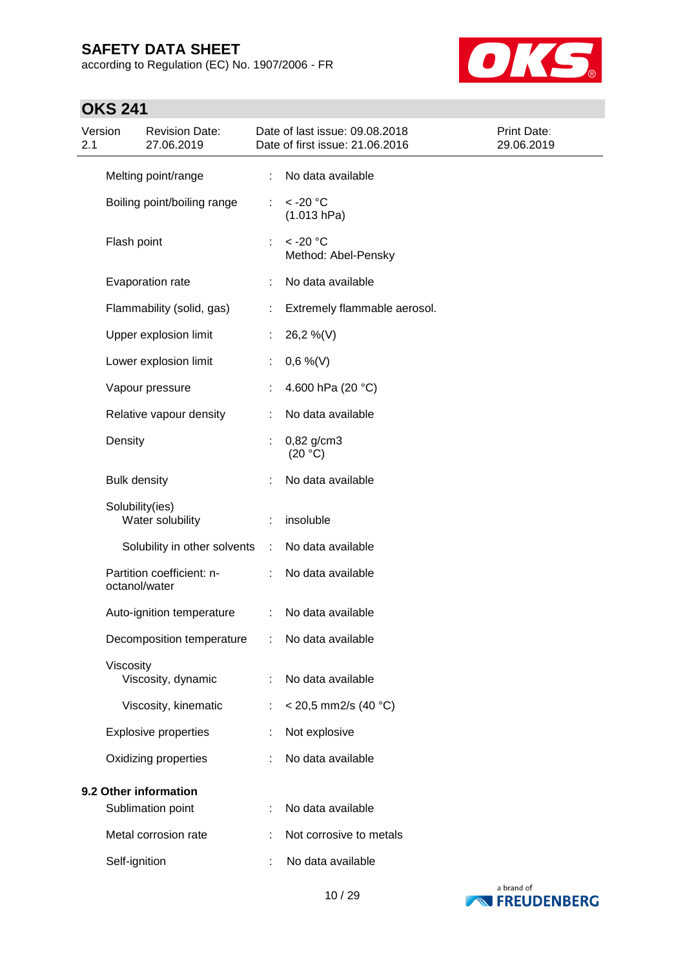according to Regulation (EC) No. 1907/2006 - FR



| Version<br>2.1 |                     | <b>Revision Date:</b><br>27.06.2019        |                             | Date of last issue: 09.08.2018<br>Date of first issue: 21.06.2016 | <b>Print Date:</b><br>29.06.2019 |
|----------------|---------------------|--------------------------------------------|-----------------------------|-------------------------------------------------------------------|----------------------------------|
|                |                     | Melting point/range                        | ÷                           | No data available                                                 |                                  |
|                |                     | Boiling point/boiling range                | ÷.                          | $<$ -20 $^{\circ}$ C<br>(1.013 hPa)                               |                                  |
|                | Flash point         |                                            | ÷                           | $<$ -20 $^{\circ}$ C<br>Method: Abel-Pensky                       |                                  |
|                |                     | Evaporation rate                           | ÷                           | No data available                                                 |                                  |
|                |                     | Flammability (solid, gas)                  | ÷                           | Extremely flammable aerosol.                                      |                                  |
|                |                     | Upper explosion limit                      | ÷.                          | 26,2 %(V)                                                         |                                  |
|                |                     | Lower explosion limit                      | ÷                           | $0,6\%$ (V)                                                       |                                  |
|                |                     | Vapour pressure                            |                             | 4.600 hPa (20 °C)                                                 |                                  |
|                |                     | Relative vapour density                    |                             | No data available                                                 |                                  |
|                | Density             |                                            |                             | $0,82$ g/cm3<br>(20 °C)                                           |                                  |
|                | <b>Bulk density</b> |                                            |                             | No data available                                                 |                                  |
|                | Solubility(ies)     | Water solubility                           |                             | insoluble                                                         |                                  |
|                |                     | Solubility in other solvents               | $\mathcal{L}^{\mathcal{A}}$ | No data available                                                 |                                  |
|                | octanol/water       | Partition coefficient: n-                  | ÷.                          | No data available                                                 |                                  |
|                |                     | Auto-ignition temperature                  | ÷.                          | No data available                                                 |                                  |
|                |                     | Decomposition temperature                  |                             | No data available                                                 |                                  |
|                | Viscosity           | Viscosity, dynamic                         |                             | No data available                                                 |                                  |
|                |                     | Viscosity, kinematic                       | ÷                           | $<$ 20,5 mm2/s (40 °C)                                            |                                  |
|                |                     | <b>Explosive properties</b>                |                             | Not explosive                                                     |                                  |
|                |                     | Oxidizing properties                       |                             | No data available                                                 |                                  |
|                |                     | 9.2 Other information<br>Sublimation point |                             | No data available                                                 |                                  |
|                |                     | Metal corrosion rate                       |                             | Not corrosive to metals                                           |                                  |
|                | Self-ignition       |                                            |                             | No data available                                                 |                                  |

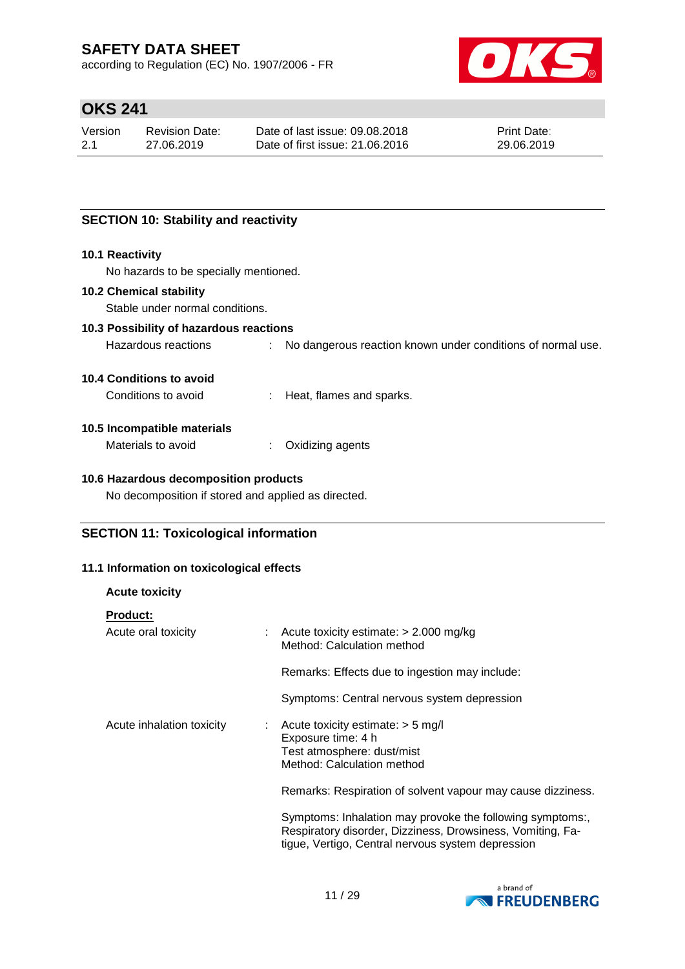according to Regulation (EC) No. 1907/2006 - FR



## **OKS 241**

| Version | Revision Date: | Date of last issue: 09.08.2018  | <b>Print Date:</b> |
|---------|----------------|---------------------------------|--------------------|
| 2.1     | 27.06.2019     | Date of first issue: 21,06,2016 | 29.06.2019         |

## **SECTION 10: Stability and reactivity**

#### **10.1 Reactivity**

No hazards to be specially mentioned.

### **10.2 Chemical stability**

Stable under normal conditions.

### **10.3 Possibility of hazardous reactions**

Hazardous reactions : No dangerous reaction known under conditions of normal use.

#### **10.4 Conditions to avoid**

Conditions to avoid : Heat, flames and sparks.

### **10.5 Incompatible materials**

| Materials to avoid | Oxidizing agents |
|--------------------|------------------|
|--------------------|------------------|

### **10.6 Hazardous decomposition products**

No decomposition if stored and applied as directed.

### **SECTION 11: Toxicological information**

### **11.1 Information on toxicological effects**

| <b>Acute toxicity</b>           |                                                                                                                                                                              |
|---------------------------------|------------------------------------------------------------------------------------------------------------------------------------------------------------------------------|
| <b>Product:</b>                 |                                                                                                                                                                              |
| Acute oral toxicity             | $\therefore$ Acute toxicity estimate: $> 2.000$ mg/kg<br>Method: Calculation method                                                                                          |
|                                 | Remarks: Effects due to ingestion may include:                                                                                                                               |
|                                 | Symptoms: Central nervous system depression                                                                                                                                  |
| Acute inhalation toxicity<br>t. | Acute toxicity estimate: $>$ 5 mg/l<br>Exposure time: 4 h<br>Test atmosphere: dust/mist<br>Method: Calculation method                                                        |
|                                 | Remarks: Respiration of solvent vapour may cause dizziness.                                                                                                                  |
|                                 | Symptoms: Inhalation may provoke the following symptoms:,<br>Respiratory disorder, Dizziness, Drowsiness, Vomiting, Fa-<br>tigue, Vertigo, Central nervous system depression |

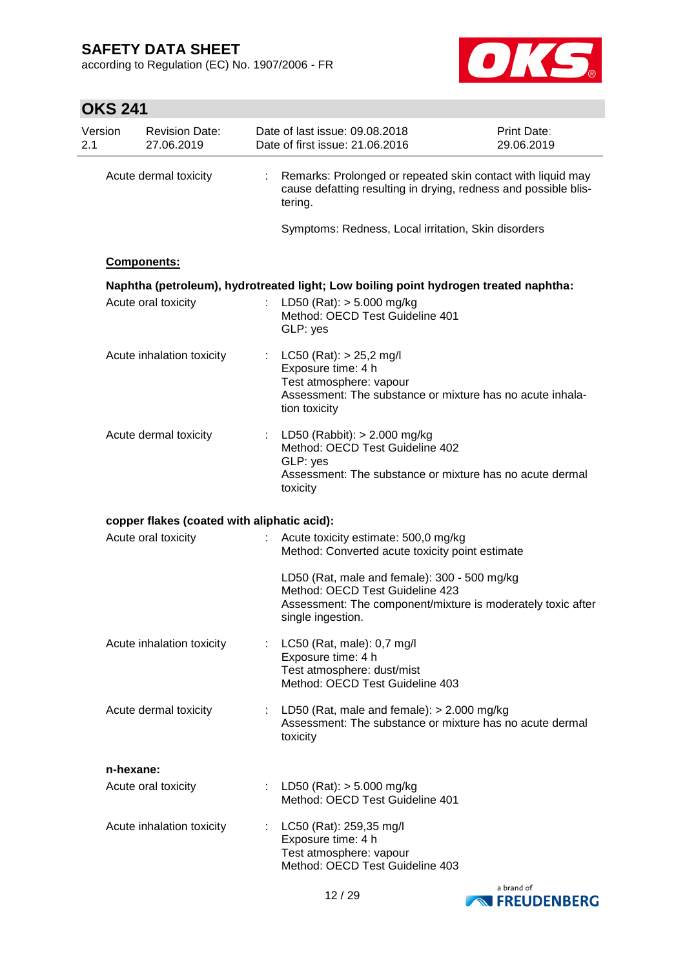according to Regulation (EC) No. 1907/2006 - FR



## **OKS 241**

| Version<br>2.1 |           | <b>Revision Date:</b><br>27.06.2019         |    | Date of last issue: 09.08.2018<br>Date of first issue: 21.06.2016                                                                                                   | Print Date:<br>29.06.2019 |
|----------------|-----------|---------------------------------------------|----|---------------------------------------------------------------------------------------------------------------------------------------------------------------------|---------------------------|
|                |           | Acute dermal toxicity                       | ÷. | Remarks: Prolonged or repeated skin contact with liquid may<br>cause defatting resulting in drying, redness and possible blis-<br>tering.                           |                           |
|                |           |                                             |    | Symptoms: Redness, Local irritation, Skin disorders                                                                                                                 |                           |
|                |           | Components:                                 |    |                                                                                                                                                                     |                           |
|                |           |                                             |    | Naphtha (petroleum), hydrotreated light; Low boiling point hydrogen treated naphtha:                                                                                |                           |
|                |           | Acute oral toxicity                         |    | LD50 (Rat): $> 5.000$ mg/kg<br>Method: OECD Test Guideline 401<br>GLP: yes                                                                                          |                           |
|                |           | Acute inhalation toxicity                   |    | : $LC50 (Rat): > 25,2$ mg/l<br>Exposure time: 4 h<br>Test atmosphere: vapour<br>Assessment: The substance or mixture has no acute inhala-<br>tion toxicity          |                           |
|                |           | Acute dermal toxicity                       |    | : LD50 (Rabbit): $> 2.000$ mg/kg<br>Method: OECD Test Guideline 402<br>GLP: yes<br>Assessment: The substance or mixture has no acute dermal<br>toxicity             |                           |
|                |           | copper flakes (coated with aliphatic acid): |    |                                                                                                                                                                     |                           |
|                |           | Acute oral toxicity                         | ÷  | Acute toxicity estimate: 500,0 mg/kg<br>Method: Converted acute toxicity point estimate                                                                             |                           |
|                |           |                                             |    | LD50 (Rat, male and female): 300 - 500 mg/kg<br>Method: OECD Test Guideline 423<br>Assessment: The component/mixture is moderately toxic after<br>single ingestion. |                           |
|                |           | Acute inhalation toxicity                   |    | LC50 (Rat, male): 0,7 mg/l<br>Exposure time: 4 h<br>Test atmosphere: dust/mist<br>Method: OECD Test Guideline 403                                                   |                           |
|                |           | Acute dermal toxicity                       |    | : LD50 (Rat, male and female): $> 2.000$ mg/kg<br>Assessment: The substance or mixture has no acute dermal<br>toxicity                                              |                           |
|                | n-hexane: |                                             |    |                                                                                                                                                                     |                           |
|                |           | Acute oral toxicity                         |    | : LD50 (Rat): $>$ 5.000 mg/kg<br>Method: OECD Test Guideline 401                                                                                                    |                           |
|                |           | Acute inhalation toxicity                   |    | LC50 (Rat): 259,35 mg/l<br>Exposure time: 4 h<br>Test atmosphere: vapour<br>Method: OECD Test Guideline 403                                                         |                           |
|                |           |                                             |    |                                                                                                                                                                     | a brand of                |

12 / 29



**NO FREUDENBERG**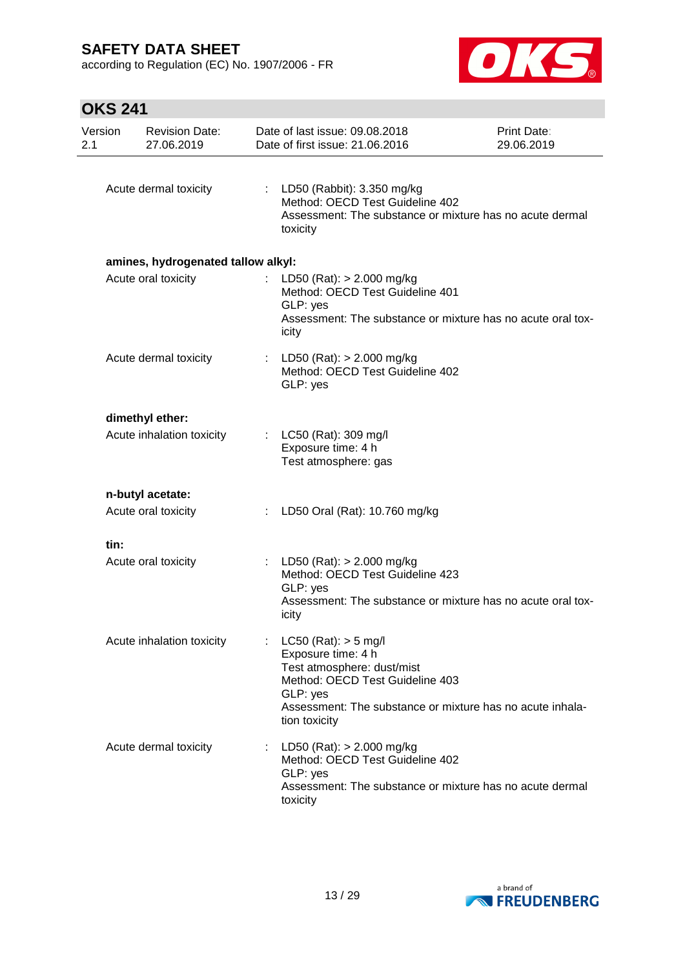according to Regulation (EC) No. 1907/2006 - FR



| Version<br>2.1 | <b>Revision Date:</b><br>27.06.2019 |   | Date of last issue: 09.08.2018<br>Date of first issue: 21.06.2016                                                                                                                                         | Print Date:<br>29.06.2019 |
|----------------|-------------------------------------|---|-----------------------------------------------------------------------------------------------------------------------------------------------------------------------------------------------------------|---------------------------|
|                | Acute dermal toxicity               |   | : LD50 (Rabbit): 3.350 mg/kg<br>Method: OECD Test Guideline 402<br>Assessment: The substance or mixture has no acute dermal<br>toxicity                                                                   |                           |
|                | amines, hydrogenated tallow alkyl:  |   |                                                                                                                                                                                                           |                           |
|                | Acute oral toxicity                 |   | LD50 (Rat): $> 2.000$ mg/kg<br>Method: OECD Test Guideline 401<br>GLP: yes<br>Assessment: The substance or mixture has no acute oral tox-<br>icity                                                        |                           |
|                | Acute dermal toxicity               |   | : LD50 (Rat): $> 2.000$ mg/kg<br>Method: OECD Test Guideline 402<br>GLP: yes                                                                                                                              |                           |
|                | dimethyl ether:                     |   |                                                                                                                                                                                                           |                           |
|                | Acute inhalation toxicity           |   | : LC50 (Rat): 309 mg/l<br>Exposure time: 4 h<br>Test atmosphere: gas                                                                                                                                      |                           |
|                | n-butyl acetate:                    |   |                                                                                                                                                                                                           |                           |
|                | Acute oral toxicity                 |   | LD50 Oral (Rat): 10.760 mg/kg                                                                                                                                                                             |                           |
| tin:           |                                     |   |                                                                                                                                                                                                           |                           |
|                | Acute oral toxicity                 |   | LD50 (Rat): $> 2.000$ mg/kg<br>Method: OECD Test Guideline 423<br>GLP: yes<br>Assessment: The substance or mixture has no acute oral tox-<br>icity                                                        |                           |
|                | Acute inhalation toxicity           |   | $LC50$ (Rat): $> 5$ mg/l<br>Exposure time: 4 h<br>Test atmosphere: dust/mist<br>Method: OECD Test Guideline 403<br>GLP: yes<br>Assessment: The substance or mixture has no acute inhala-<br>tion toxicity |                           |
|                | Acute dermal toxicity               | ÷ | LD50 (Rat): $> 2.000$ mg/kg<br>Method: OECD Test Guideline 402<br>GLP: yes<br>Assessment: The substance or mixture has no acute dermal<br>toxicity                                                        |                           |

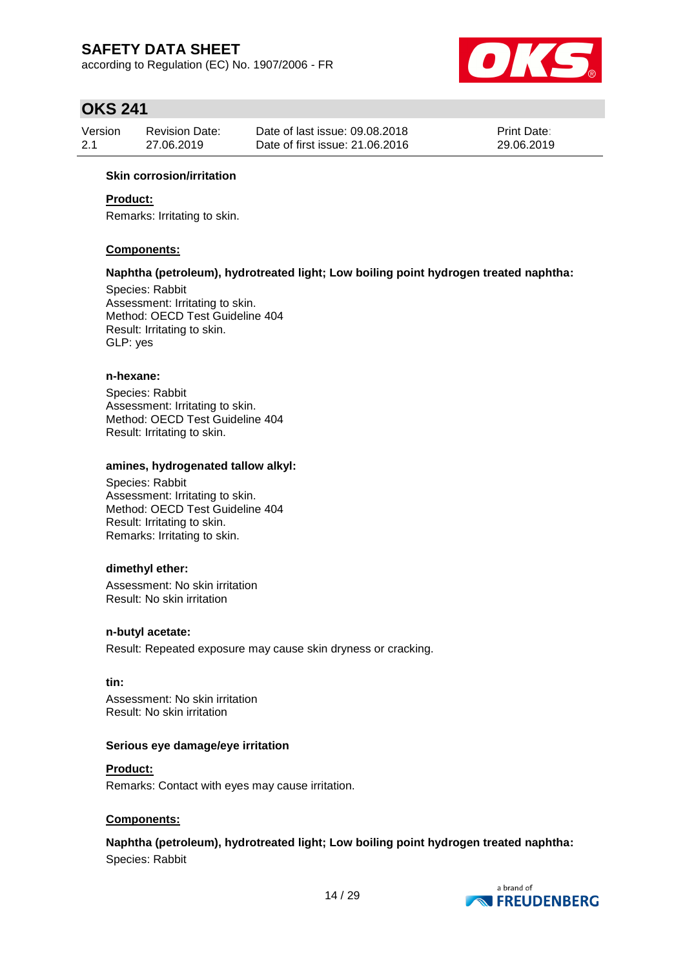according to Regulation (EC) No. 1907/2006 - FR



## **OKS 241**

| Version | <b>Revision Date:</b> | Date of last issue: 09.08.2018  | <b>Print Date:</b> |
|---------|-----------------------|---------------------------------|--------------------|
| 2.1     | 27.06.2019            | Date of first issue: 21,06,2016 | 29.06.2019         |

### **Skin corrosion/irritation**

### **Product:**

Remarks: Irritating to skin.

#### **Components:**

#### **Naphtha (petroleum), hydrotreated light; Low boiling point hydrogen treated naphtha:**

Species: Rabbit Assessment: Irritating to skin. Method: OECD Test Guideline 404 Result: Irritating to skin. GLP: yes

#### **n-hexane:**

Species: Rabbit Assessment: Irritating to skin. Method: OECD Test Guideline 404 Result: Irritating to skin.

#### **amines, hydrogenated tallow alkyl:**

Species: Rabbit Assessment: Irritating to skin. Method: OECD Test Guideline 404 Result: Irritating to skin. Remarks: Irritating to skin.

#### **dimethyl ether:**

Assessment: No skin irritation Result: No skin irritation

#### **n-butyl acetate:**

Result: Repeated exposure may cause skin dryness or cracking.

#### **tin:**

Assessment: No skin irritation Result: No skin irritation

#### **Serious eye damage/eye irritation**

### **Product:**

Remarks: Contact with eyes may cause irritation.

#### **Components:**

### **Naphtha (petroleum), hydrotreated light; Low boiling point hydrogen treated naphtha:**

Species: Rabbit

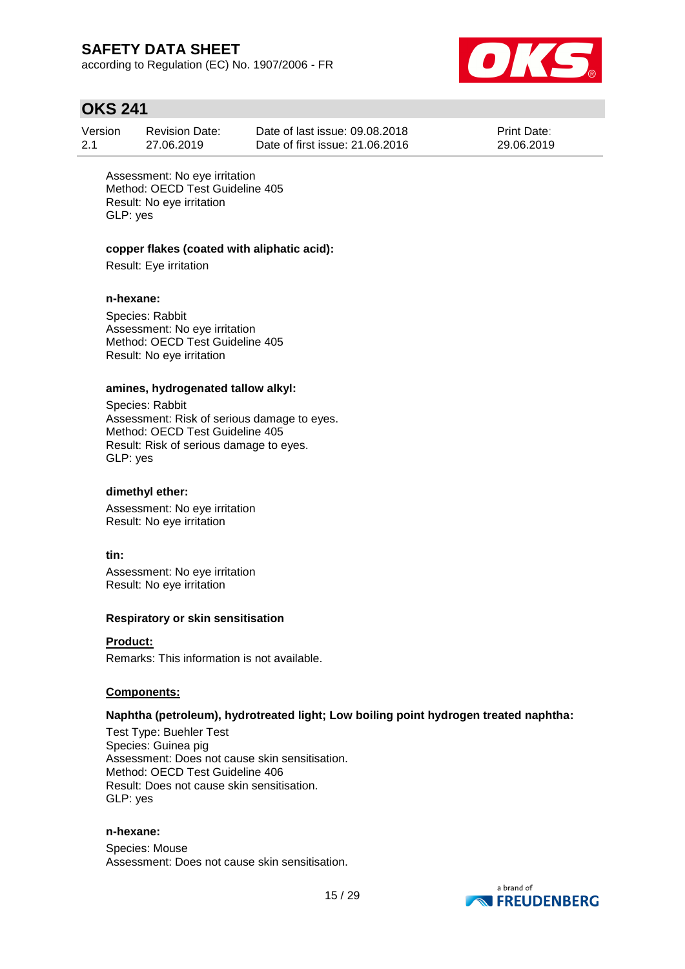according to Regulation (EC) No. 1907/2006 - FR



## **OKS 241**

| Version | Revision Date: | Date of last issue: 09.08.2018  | <b>Print Date:</b> |
|---------|----------------|---------------------------------|--------------------|
| 2.1     | 27.06.2019     | Date of first issue: 21,06,2016 | 29.06.2019         |

Assessment: No eye irritation Method: OECD Test Guideline 405 Result: No eye irritation GLP: yes

### **copper flakes (coated with aliphatic acid):**

Result: Eye irritation

#### **n-hexane:**

Species: Rabbit Assessment: No eye irritation Method: OECD Test Guideline 405 Result: No eye irritation

#### **amines, hydrogenated tallow alkyl:**

Species: Rabbit Assessment: Risk of serious damage to eyes. Method: OECD Test Guideline 405 Result: Risk of serious damage to eyes. GLP: yes

### **dimethyl ether:**

Assessment: No eye irritation Result: No eye irritation

#### **tin:**

Assessment: No eye irritation Result: No eye irritation

#### **Respiratory or skin sensitisation**

#### **Product:**

Remarks: This information is not available.

#### **Components:**

#### **Naphtha (petroleum), hydrotreated light; Low boiling point hydrogen treated naphtha:**

Test Type: Buehler Test Species: Guinea pig Assessment: Does not cause skin sensitisation. Method: OECD Test Guideline 406 Result: Does not cause skin sensitisation. GLP: yes

#### **n-hexane:**

Species: Mouse Assessment: Does not cause skin sensitisation.

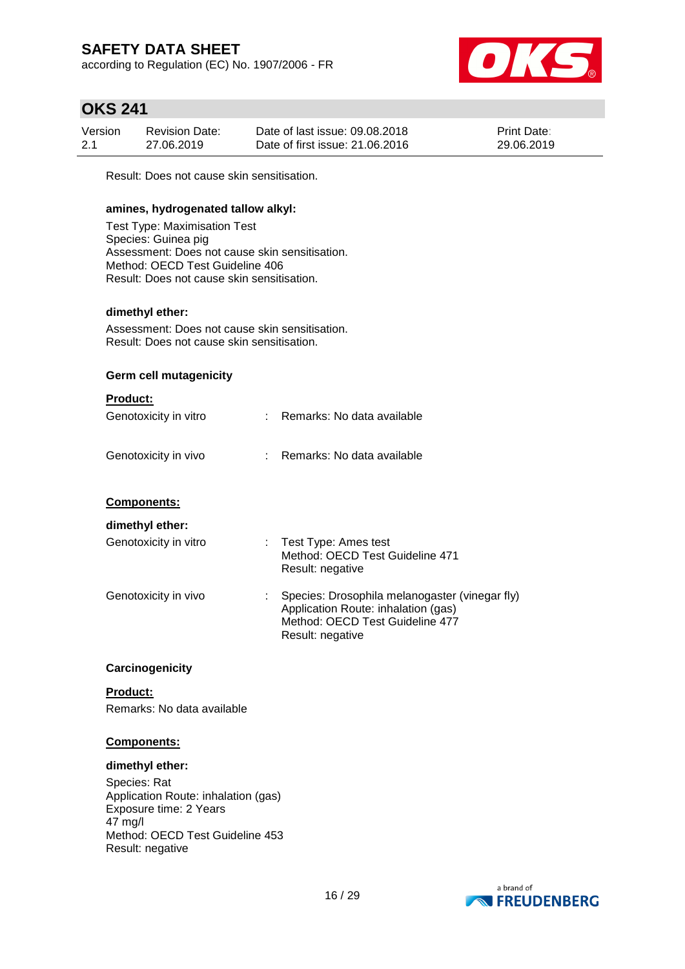according to Regulation (EC) No. 1907/2006 - FR



## **OKS 241**

| Version | Revision Date: | Date of last issue: 09.08.2018  | <b>Print Date:</b> |
|---------|----------------|---------------------------------|--------------------|
| 2.1     | 27.06.2019     | Date of first issue: 21,06,2016 | 29.06.2019         |

Result: Does not cause skin sensitisation.

### **amines, hydrogenated tallow alkyl:**

Test Type: Maximisation Test Species: Guinea pig Assessment: Does not cause skin sensitisation. Method: OECD Test Guideline 406 Result: Does not cause skin sensitisation.

### **dimethyl ether:**

Assessment: Does not cause skin sensitisation. Result: Does not cause skin sensitisation.

### **Germ cell mutagenicity**

### **Product:**

| Genotoxicity in vitro | : Remarks: No data available |
|-----------------------|------------------------------|
| Genotoxicity in vivo  | : Remarks: No data available |

### **Components:**

#### **dimethyl ether:**

| Genotoxicity in vitro | : Test Type: Ames test<br>Method: OECD Test Guideline 471<br>Result: negative                                                                |
|-----------------------|----------------------------------------------------------------------------------------------------------------------------------------------|
| Genotoxicity in vivo  | Species: Drosophila melanogaster (vinegar fly)<br>Application Route: inhalation (gas)<br>Method: OECD Test Guideline 477<br>Result: negative |

#### **Carcinogenicity**

**Product:** Remarks: No data available

#### **Components:**

#### **dimethyl ether:**

Species: Rat Application Route: inhalation (gas) Exposure time: 2 Years 47 mg/l Method: OECD Test Guideline 453 Result: negative

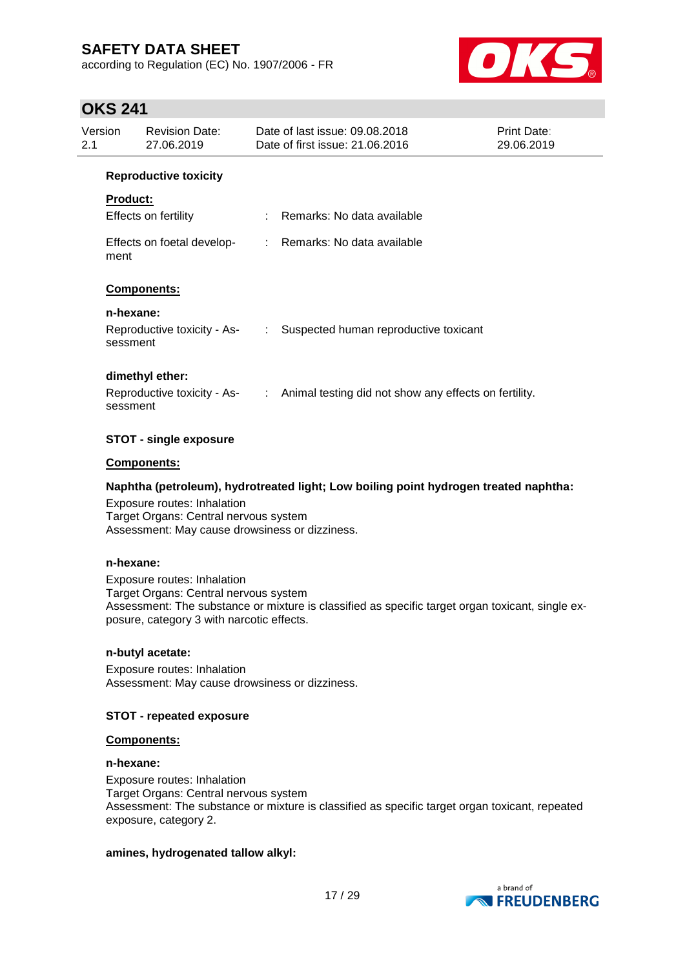according to Regulation (EC) No. 1907/2006 - FR



## **OKS 241**

| Version<br>2.1 |                       | <b>Revision Date:</b><br>27.06.2019 |                            | Date of last issue: 09.08.2018<br>Date of first issue: 21.06.2016                   | <b>Print Date:</b><br>29.06.2019 |
|----------------|-----------------------|-------------------------------------|----------------------------|-------------------------------------------------------------------------------------|----------------------------------|
|                |                       | <b>Reproductive toxicity</b>        |                            |                                                                                     |                                  |
|                | <b>Product:</b>       | Effects on fertility                |                            | : Remarks: No data available                                                        |                                  |
|                | ment                  |                                     |                            | Effects on foetal develop- : Remarks: No data available                             |                                  |
|                |                       | <b>Components:</b>                  |                            |                                                                                     |                                  |
|                | n-hexane:<br>sessment | Reproductive toxicity - As-         | $\mathcal{L}^{\text{max}}$ | Suspected human reproductive toxicant                                               |                                  |
|                | sessment              | dimethyl ether:                     |                            | Reproductive toxicity - As- : Animal testing did not show any effects on fertility. |                                  |
|                |                       | STOT - single exposure              |                            |                                                                                     |                                  |

### **Components:**

### **Naphtha (petroleum), hydrotreated light; Low boiling point hydrogen treated naphtha:**

Exposure routes: Inhalation Target Organs: Central nervous system Assessment: May cause drowsiness or dizziness.

### **n-hexane:**

Exposure routes: Inhalation Target Organs: Central nervous system Assessment: The substance or mixture is classified as specific target organ toxicant, single exposure, category 3 with narcotic effects.

#### **n-butyl acetate:**

Exposure routes: Inhalation Assessment: May cause drowsiness or dizziness.

### **STOT - repeated exposure**

### **Components:**

### **n-hexane:**

Exposure routes: Inhalation Target Organs: Central nervous system Assessment: The substance or mixture is classified as specific target organ toxicant, repeated exposure, category 2.

#### **amines, hydrogenated tallow alkyl:**

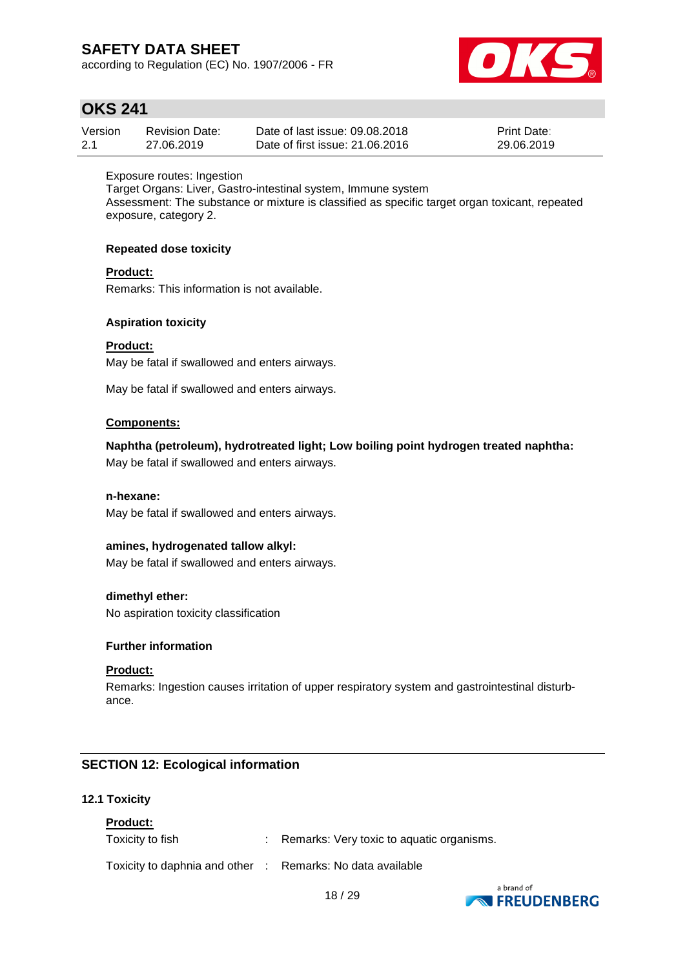according to Regulation (EC) No. 1907/2006 - FR



## **OKS 241**

| Version | <b>Revision Date:</b> | Date of last issue: 09.08.2018  | <b>Print Date:</b> |
|---------|-----------------------|---------------------------------|--------------------|
| 2.1     | 27.06.2019            | Date of first issue: 21,06,2016 | 29.06.2019         |

### Exposure routes: Ingestion

Target Organs: Liver, Gastro-intestinal system, Immune system Assessment: The substance or mixture is classified as specific target organ toxicant, repeated exposure, category 2.

### **Repeated dose toxicity**

### **Product:**

Remarks: This information is not available.

### **Aspiration toxicity**

**Product:** May be fatal if swallowed and enters airways.

May be fatal if swallowed and enters airways.

### **Components:**

## **Naphtha (petroleum), hydrotreated light; Low boiling point hydrogen treated naphtha:**

May be fatal if swallowed and enters airways.

### **n-hexane:**

May be fatal if swallowed and enters airways.

### **amines, hydrogenated tallow alkyl:**

May be fatal if swallowed and enters airways.

### **dimethyl ether:**

No aspiration toxicity classification

### **Further information**

### **Product:**

Remarks: Ingestion causes irritation of upper respiratory system and gastrointestinal disturbance.

### **SECTION 12: Ecological information**

### **12.1 Toxicity**

### **Product:**

Toxicity to fish : Remarks: Very toxic to aquatic organisms.

Toxicity to daphnia and other : Remarks: No data available

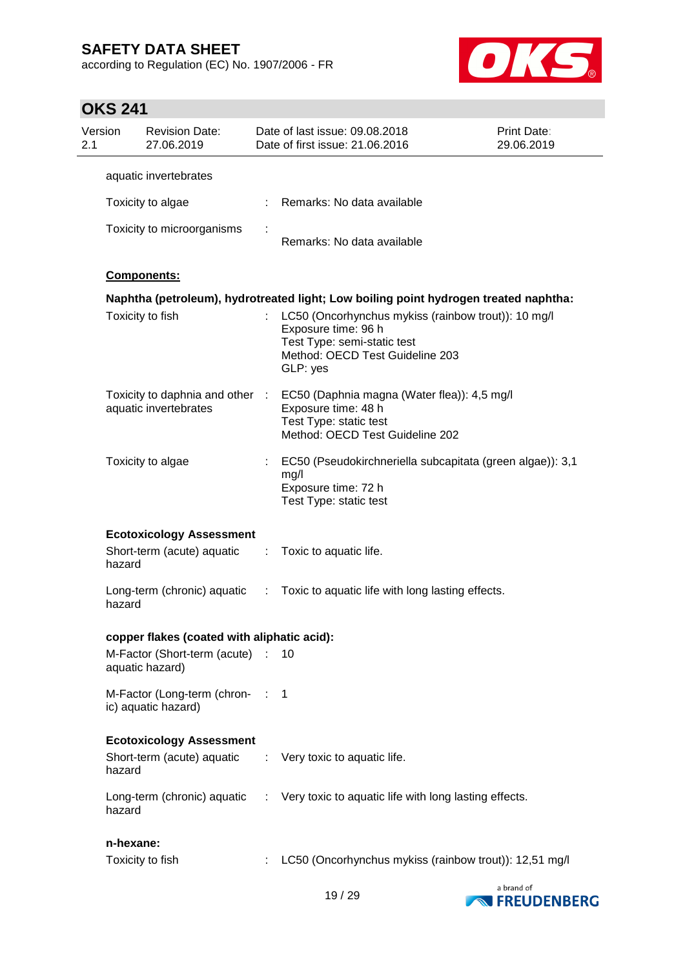according to Regulation (EC) No. 1907/2006 - FR



| 2.1 | Version   | <b>Revision Date:</b><br>27.06.2019                      |            | Date of last issue: 09.08.2018<br>Date of first issue: 21.06.2016                                                                                        | <b>Print Date:</b><br>29.06.2019 |
|-----|-----------|----------------------------------------------------------|------------|----------------------------------------------------------------------------------------------------------------------------------------------------------|----------------------------------|
|     |           | aquatic invertebrates                                    |            |                                                                                                                                                          |                                  |
|     |           | Toxicity to algae                                        |            | Remarks: No data available                                                                                                                               |                                  |
|     |           | Toxicity to microorganisms                               |            | Remarks: No data available                                                                                                                               |                                  |
|     |           | Components:                                              |            |                                                                                                                                                          |                                  |
|     |           |                                                          |            | Naphtha (petroleum), hydrotreated light; Low boiling point hydrogen treated naphtha:                                                                     |                                  |
|     |           | Toxicity to fish                                         |            | LC50 (Oncorhynchus mykiss (rainbow trout)): 10 mg/l<br>Exposure time: 96 h<br>Test Type: semi-static test<br>Method: OECD Test Guideline 203<br>GLP: yes |                                  |
|     |           | Toxicity to daphnia and other :<br>aquatic invertebrates |            | EC50 (Daphnia magna (Water flea)): 4,5 mg/l<br>Exposure time: 48 h<br>Test Type: static test<br>Method: OECD Test Guideline 202                          |                                  |
|     |           | Toxicity to algae                                        |            | EC50 (Pseudokirchneriella subcapitata (green algae)): 3,1<br>mg/l<br>Exposure time: 72 h<br>Test Type: static test                                       |                                  |
|     |           | <b>Ecotoxicology Assessment</b>                          |            |                                                                                                                                                          |                                  |
|     | hazard    | Short-term (acute) aquatic                               | ÷.         | Toxic to aquatic life.                                                                                                                                   |                                  |
|     | hazard    |                                                          |            | Long-term (chronic) aquatic : Toxic to aquatic life with long lasting effects.                                                                           |                                  |
|     |           | copper flakes (coated with aliphatic acid):              |            |                                                                                                                                                          |                                  |
|     |           | M-Factor (Short-term (acute)<br>aquatic hazard)          |            | 10                                                                                                                                                       |                                  |
|     |           | M-Factor (Long-term (chron-<br>ic) aquatic hazard)       | $\sim 100$ | 1                                                                                                                                                        |                                  |
|     |           | <b>Ecotoxicology Assessment</b>                          |            |                                                                                                                                                          |                                  |
|     | hazard    | Short-term (acute) aquatic                               |            | Very toxic to aquatic life.                                                                                                                              |                                  |
|     | hazard    | Long-term (chronic) aquatic                              | ÷.         | Very toxic to aquatic life with long lasting effects.                                                                                                    |                                  |
|     | n-hexane: |                                                          |            |                                                                                                                                                          |                                  |
|     |           | Toxicity to fish                                         |            | LC50 (Oncorhynchus mykiss (rainbow trout)): 12,51 mg/l                                                                                                   |                                  |

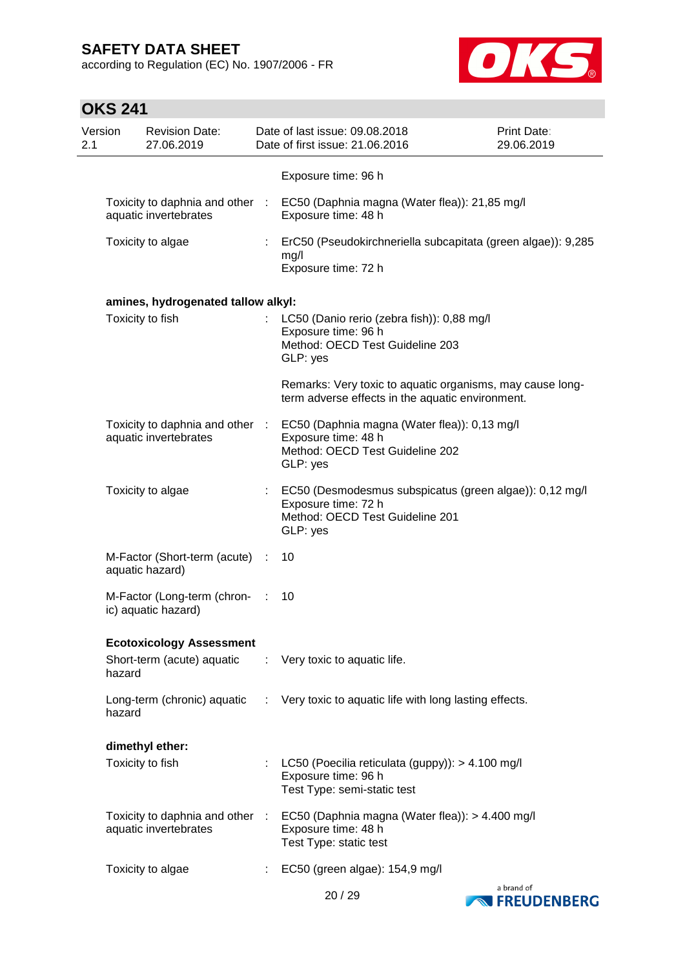according to Regulation (EC) No. 1907/2006 - FR



| Version<br>2.1 |        | <b>Revision Date:</b><br>27.06.2019                      |   | Date of last issue: 09.08.2018<br>Date of first issue: 21.06.2016                                                             | Print Date:<br>29.06.2019 |
|----------------|--------|----------------------------------------------------------|---|-------------------------------------------------------------------------------------------------------------------------------|---------------------------|
|                |        |                                                          |   | Exposure time: 96 h                                                                                                           |                           |
|                |        | aquatic invertebrates                                    |   | Toxicity to daphnia and other : EC50 (Daphnia magna (Water flea)): 21,85 mg/l<br>Exposure time: 48 h                          |                           |
|                |        | Toxicity to algae                                        |   | ErC50 (Pseudokirchneriella subcapitata (green algae)): 9,285<br>mg/l<br>Exposure time: 72 h                                   |                           |
|                |        | amines, hydrogenated tallow alkyl:                       |   |                                                                                                                               |                           |
|                |        | Toxicity to fish                                         |   | LC50 (Danio rerio (zebra fish)): 0,88 mg/l<br>Exposure time: 96 h<br>Method: OECD Test Guideline 203<br>GLP: yes              |                           |
|                |        |                                                          |   | Remarks: Very toxic to aquatic organisms, may cause long-<br>term adverse effects in the aquatic environment.                 |                           |
|                |        | Toxicity to daphnia and other :<br>aquatic invertebrates |   | EC50 (Daphnia magna (Water flea)): 0,13 mg/l<br>Exposure time: 48 h<br>Method: OECD Test Guideline 202<br>GLP: yes            |                           |
|                |        | Toxicity to algae                                        |   | EC50 (Desmodesmus subspicatus (green algae)): 0,12 mg/l<br>Exposure time: 72 h<br>Method: OECD Test Guideline 201<br>GLP: yes |                           |
|                |        | M-Factor (Short-term (acute) :<br>aquatic hazard)        |   | 10                                                                                                                            |                           |
|                |        | M-Factor (Long-term (chron-<br>ic) aquatic hazard)       |   | 10                                                                                                                            |                           |
|                |        | <b>Ecotoxicology Assessment</b>                          |   |                                                                                                                               |                           |
|                | hazard | Short-term (acute) aquatic                               | ÷ | Very toxic to aquatic life.                                                                                                   |                           |
|                | hazard | Long-term (chronic) aquatic                              |   | : Very toxic to aquatic life with long lasting effects.                                                                       |                           |
|                |        | dimethyl ether:                                          |   |                                                                                                                               |                           |
|                |        | Toxicity to fish                                         |   | LC50 (Poecilia reticulata (guppy)): > 4.100 mg/l<br>Exposure time: 96 h<br>Test Type: semi-static test                        |                           |
|                |        | Toxicity to daphnia and other :<br>aquatic invertebrates |   | EC50 (Daphnia magna (Water flea)): > 4.400 mg/l<br>Exposure time: 48 h<br>Test Type: static test                              |                           |
|                |        | Toxicity to algae                                        |   | EC50 (green algae): 154,9 mg/l                                                                                                |                           |
|                |        |                                                          |   |                                                                                                                               |                           |



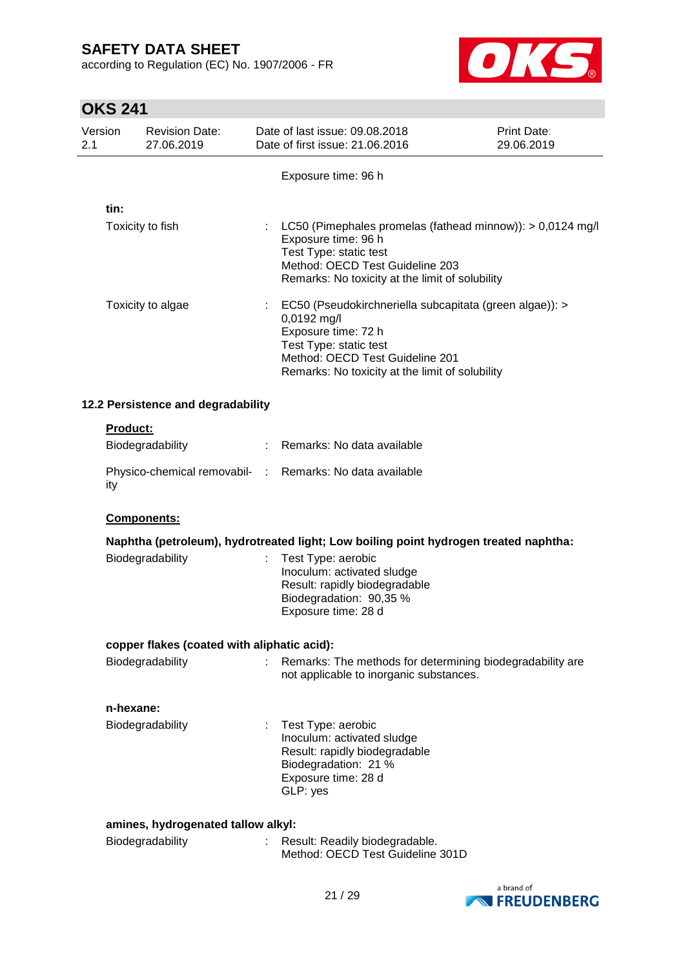according to Regulation (EC) No. 1907/2006 - FR



| ו דב טווט      |                                             |      |                                                                                                                                                                                                               |                                  |
|----------------|---------------------------------------------|------|---------------------------------------------------------------------------------------------------------------------------------------------------------------------------------------------------------------|----------------------------------|
| Version<br>2.1 | <b>Revision Date:</b><br>27.06.2019         |      | Date of last issue: 09.08.2018<br>Date of first issue: 21.06.2016                                                                                                                                             | <b>Print Date:</b><br>29.06.2019 |
|                |                                             |      | Exposure time: 96 h                                                                                                                                                                                           |                                  |
|                |                                             |      |                                                                                                                                                                                                               |                                  |
| tin:           | Toxicity to fish                            |      | LC50 (Pimephales promelas (fathead minnow)): > 0,0124 mg/l<br>Exposure time: 96 h<br>Test Type: static test<br>Method: OECD Test Guideline 203<br>Remarks: No toxicity at the limit of solubility             |                                  |
|                | Toxicity to algae                           |      | EC50 (Pseudokirchneriella subcapitata (green algae)): ><br>0,0192 mg/l<br>Exposure time: 72 h<br>Test Type: static test<br>Method: OECD Test Guideline 201<br>Remarks: No toxicity at the limit of solubility |                                  |
|                | 12.2 Persistence and degradability          |      |                                                                                                                                                                                                               |                                  |
|                | Product:                                    |      |                                                                                                                                                                                                               |                                  |
|                | Biodegradability                            |      | Remarks: No data available                                                                                                                                                                                    |                                  |
| ity            | Physico-chemical removabil-                 | $-1$ | Remarks: No data available                                                                                                                                                                                    |                                  |
|                | Components:                                 |      |                                                                                                                                                                                                               |                                  |
|                |                                             |      | Naphtha (petroleum), hydrotreated light; Low boiling point hydrogen treated naphtha:                                                                                                                          |                                  |
|                | Biodegradability                            |      | Test Type: aerobic<br>Inoculum: activated sludge<br>Result: rapidly biodegradable<br>Biodegradation: 90,35 %<br>Exposure time: 28 d                                                                           |                                  |
|                | copper flakes (coated with aliphatic acid): |      |                                                                                                                                                                                                               |                                  |
|                | Biodegradability                            |      | Remarks: The methods for determining biodegradability are<br>not applicable to inorganic substances.                                                                                                          |                                  |
|                | n-hexane:                                   |      |                                                                                                                                                                                                               |                                  |
|                | Biodegradability                            |      | Test Type: aerobic<br>Inoculum: activated sludge<br>Result: rapidly biodegradable<br>Biodegradation: 21 %<br>Exposure time: 28 d<br>GLP: yes                                                                  |                                  |
|                |                                             |      |                                                                                                                                                                                                               |                                  |
|                | amines, hydrogenated tallow alkyl:          |      |                                                                                                                                                                                                               |                                  |
|                | Biodegradability                            |      | Result: Readily biodegradable.<br>Method: OECD Test Guideline 301D                                                                                                                                            |                                  |
|                |                                             |      |                                                                                                                                                                                                               | a brand of                       |

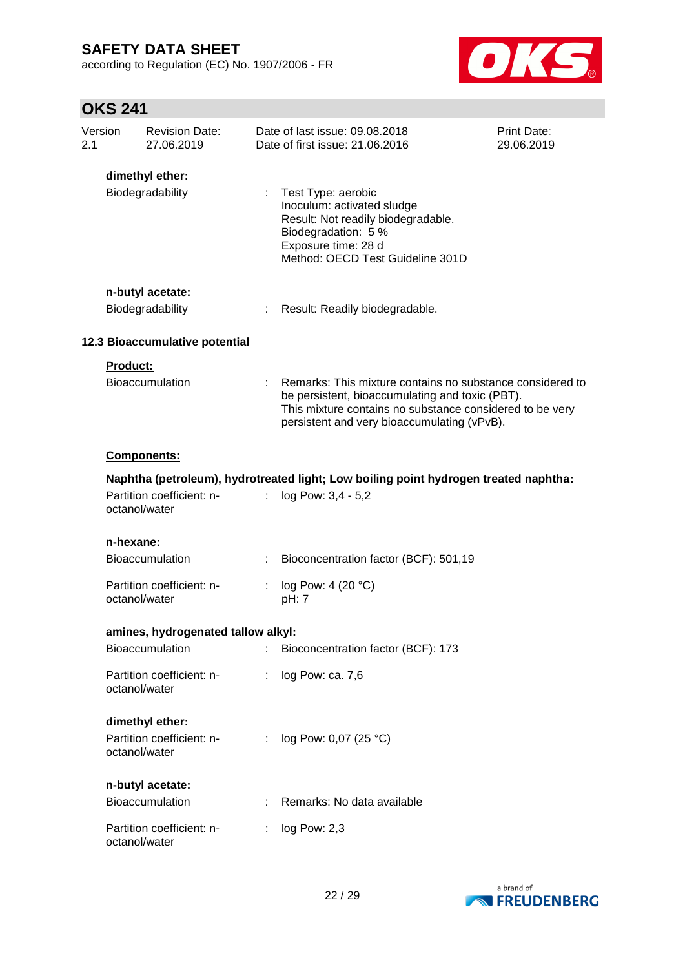according to Regulation (EC) No. 1907/2006 - FR



| Version<br>2.1 |                                      | <b>Revision Date:</b><br>27.06.2019 |                           | Date of last issue: 09.08.2018<br>Date of first issue: 21.06.2016                                                                                                                                                         | <b>Print Date:</b><br>29.06.2019 |  |  |  |
|----------------|--------------------------------------|-------------------------------------|---------------------------|---------------------------------------------------------------------------------------------------------------------------------------------------------------------------------------------------------------------------|----------------------------------|--|--|--|
|                |                                      | dimethyl ether:<br>Biodegradability |                           | : Test Type: aerobic<br>Inoculum: activated sludge<br>Result: Not readily biodegradable.<br>Biodegradation: 5 %<br>Exposure time: 28 d<br>Method: OECD Test Guideline 301D                                                |                                  |  |  |  |
|                | n-butyl acetate:<br>Biodegradability |                                     |                           | Result: Readily biodegradable.                                                                                                                                                                                            |                                  |  |  |  |
|                |                                      | 12.3 Bioaccumulative potential      |                           |                                                                                                                                                                                                                           |                                  |  |  |  |
|                | <b>Product:</b>                      |                                     |                           |                                                                                                                                                                                                                           |                                  |  |  |  |
|                |                                      | <b>Bioaccumulation</b>              |                           | : Remarks: This mixture contains no substance considered to<br>be persistent, bioaccumulating and toxic (PBT).<br>This mixture contains no substance considered to be very<br>persistent and very bioaccumulating (vPvB). |                                  |  |  |  |
|                |                                      | Components:                         |                           |                                                                                                                                                                                                                           |                                  |  |  |  |
|                |                                      |                                     |                           | Naphtha (petroleum), hydrotreated light; Low boiling point hydrogen treated naphtha:                                                                                                                                      |                                  |  |  |  |
|                | octanol/water                        | Partition coefficient: n-           | $\mathbb{R}^{\mathbb{Z}}$ | log Pow: 3,4 - 5,2                                                                                                                                                                                                        |                                  |  |  |  |
|                | n-hexane:                            |                                     |                           |                                                                                                                                                                                                                           |                                  |  |  |  |
|                |                                      | <b>Bioaccumulation</b>              |                           | Bioconcentration factor (BCF): 501,19                                                                                                                                                                                     |                                  |  |  |  |
|                | octanol/water                        | Partition coefficient: n-           |                           | log Pow: 4 (20 °C)<br>pH: 7                                                                                                                                                                                               |                                  |  |  |  |
|                |                                      | amines, hydrogenated tallow alkyl:  |                           |                                                                                                                                                                                                                           |                                  |  |  |  |
|                |                                      | Bioaccumulation                     |                           | Bioconcentration factor (BCF): 173                                                                                                                                                                                        |                                  |  |  |  |
|                | octanol/water                        | Partition coefficient: n-           |                           | log Pow: ca. 7,6                                                                                                                                                                                                          |                                  |  |  |  |
|                |                                      | dimethyl ether:                     |                           |                                                                                                                                                                                                                           |                                  |  |  |  |
|                | octanol/water                        | Partition coefficient: n-           |                           | log Pow: 0,07 (25 °C)                                                                                                                                                                                                     |                                  |  |  |  |
|                |                                      | n-butyl acetate:                    |                           |                                                                                                                                                                                                                           |                                  |  |  |  |
|                |                                      | Bioaccumulation                     |                           | Remarks: No data available                                                                                                                                                                                                |                                  |  |  |  |
|                | octanol/water                        | Partition coefficient: n-           |                           | log Pow: 2,3                                                                                                                                                                                                              |                                  |  |  |  |

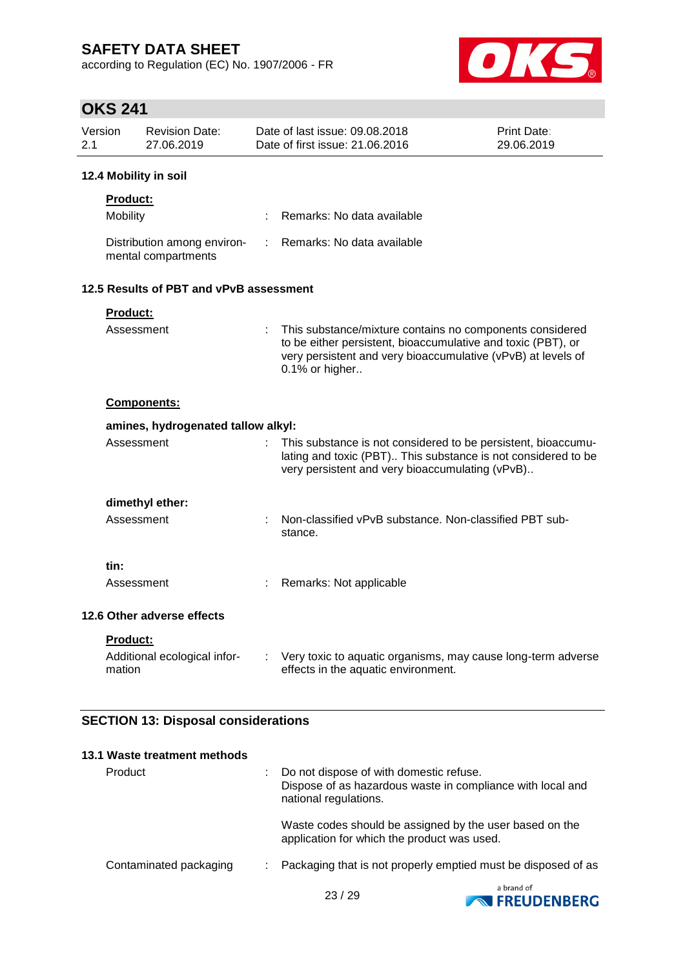according to Regulation (EC) No. 1907/2006 - FR



## **OKS 241**

| Version<br>2.1 |                            | <b>Revision Date:</b><br>27.06.2019                |    | Date of last issue: 09.08.2018<br>Date of first issue: 21.06.2016                                                                                                                                          | Print Date:<br>29.06.2019 |
|----------------|----------------------------|----------------------------------------------------|----|------------------------------------------------------------------------------------------------------------------------------------------------------------------------------------------------------------|---------------------------|
|                |                            | 12.4 Mobility in soil                              |    |                                                                                                                                                                                                            |                           |
|                | <b>Product:</b>            |                                                    |    |                                                                                                                                                                                                            |                           |
|                | Mobility                   |                                                    |    | Remarks: No data available                                                                                                                                                                                 |                           |
|                |                            | Distribution among environ-<br>mental compartments | ÷. | Remarks: No data available                                                                                                                                                                                 |                           |
|                |                            | 12.5 Results of PBT and vPvB assessment            |    |                                                                                                                                                                                                            |                           |
|                | Product:                   |                                                    |    |                                                                                                                                                                                                            |                           |
|                | Assessment                 |                                                    |    | This substance/mixture contains no components considered<br>to be either persistent, bioaccumulative and toxic (PBT), or<br>very persistent and very bioaccumulative (vPvB) at levels of<br>0.1% or higher |                           |
|                |                            | <b>Components:</b>                                 |    |                                                                                                                                                                                                            |                           |
|                |                            | amines, hydrogenated tallow alkyl:                 |    |                                                                                                                                                                                                            |                           |
|                | Assessment                 |                                                    | ÷. | This substance is not considered to be persistent, bioaccumu-<br>lating and toxic (PBT) This substance is not considered to be<br>very persistent and very bioaccumulating (vPvB)                          |                           |
|                |                            | dimethyl ether:                                    |    |                                                                                                                                                                                                            |                           |
|                | Assessment                 |                                                    |    | Non-classified vPvB substance. Non-classified PBT sub-<br>stance.                                                                                                                                          |                           |
|                | tin:                       |                                                    |    |                                                                                                                                                                                                            |                           |
|                | Assessment                 |                                                    |    | Remarks: Not applicable                                                                                                                                                                                    |                           |
|                | 12.6 Other adverse effects |                                                    |    |                                                                                                                                                                                                            |                           |
|                | <b>Product:</b>            |                                                    |    |                                                                                                                                                                                                            |                           |
|                | mation                     | Additional ecological infor-                       |    | Very toxic to aquatic organisms, may cause long-term adverse<br>effects in the aquatic environment.                                                                                                        |                           |

## **SECTION 13: Disposal considerations**

| 13.1 Waste treatment methods |                                                                                                                                |
|------------------------------|--------------------------------------------------------------------------------------------------------------------------------|
| Product                      | Do not dispose of with domestic refuse.<br>Dispose of as hazardous waste in compliance with local and<br>national regulations. |
|                              | Waste codes should be assigned by the user based on the<br>application for which the product was used.                         |
| Contaminated packaging       | Packaging that is not properly emptied must be disposed of as                                                                  |
|                              |                                                                                                                                |

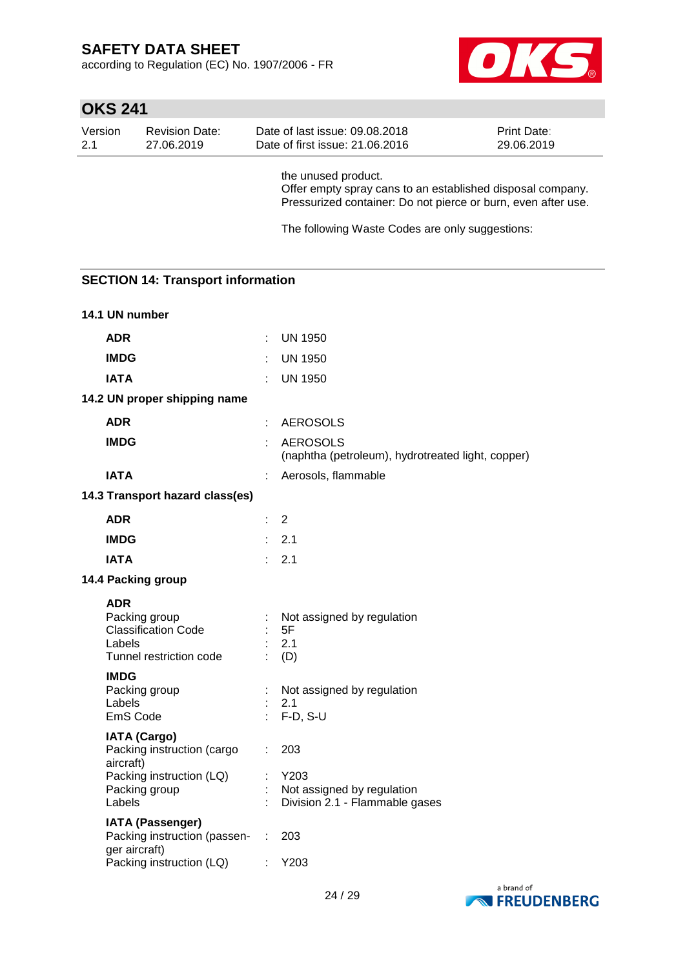according to Regulation (EC) No. 1907/2006 - FR



| Version<br>2.1        | <b>Revision Date:</b><br>27.06.2019                                      | Date of last issue: 09.08.2018<br>Print Date:<br>Date of first issue: 21.06.2016<br>29.06.2019                                                     |
|-----------------------|--------------------------------------------------------------------------|----------------------------------------------------------------------------------------------------------------------------------------------------|
|                       |                                                                          | the unused product.<br>Offer empty spray cans to an established disposal company.<br>Pressurized container: Do not pierce or burn, even after use. |
|                       |                                                                          | The following Waste Codes are only suggestions:                                                                                                    |
|                       |                                                                          |                                                                                                                                                    |
|                       | <b>SECTION 14: Transport information</b>                                 |                                                                                                                                                    |
| 14.1 UN number        |                                                                          |                                                                                                                                                    |
| <b>ADR</b>            |                                                                          | <b>UN 1950</b><br>÷                                                                                                                                |
| <b>IMDG</b>           |                                                                          | <b>UN 1950</b>                                                                                                                                     |
| <b>IATA</b>           |                                                                          | <b>UN 1950</b>                                                                                                                                     |
|                       | 14.2 UN proper shipping name                                             |                                                                                                                                                    |
| <b>ADR</b>            |                                                                          | <b>AEROSOLS</b>                                                                                                                                    |
| <b>IMDG</b>           |                                                                          | <b>AEROSOLS</b><br>(naphtha (petroleum), hydrotreated light, copper)                                                                               |
| <b>IATA</b>           |                                                                          | Aerosols, flammable                                                                                                                                |
|                       | 14.3 Transport hazard class(es)                                          |                                                                                                                                                    |
| <b>ADR</b>            |                                                                          | 2                                                                                                                                                  |
| <b>IMDG</b>           |                                                                          | 2.1                                                                                                                                                |
| <b>IATA</b>           |                                                                          | 2.1                                                                                                                                                |
|                       | 14.4 Packing group                                                       |                                                                                                                                                    |
| <b>ADR</b><br>Labels  | Packing group<br><b>Classification Code</b><br>Tunnel restriction code   | Not assigned by regulation<br>5F<br>2.1<br>(D)                                                                                                     |
| <b>IMDG</b><br>Labels | Packing group<br>EmS Code                                                | Not assigned by regulation<br>2.1<br>$F-D, S-U$                                                                                                    |
|                       | <b>IATA (Cargo)</b><br>Packing instruction (cargo                        | 203                                                                                                                                                |
| aircraft)<br>Labels   | Packing instruction (LQ)<br>Packing group                                | Y203<br>Not assigned by regulation<br>Division 2.1 - Flammable gases                                                                               |
|                       | <b>IATA (Passenger)</b><br>Packing instruction (passen-<br>ger aircraft) | 203                                                                                                                                                |
|                       | Packing instruction (LQ)                                                 | Y203                                                                                                                                               |

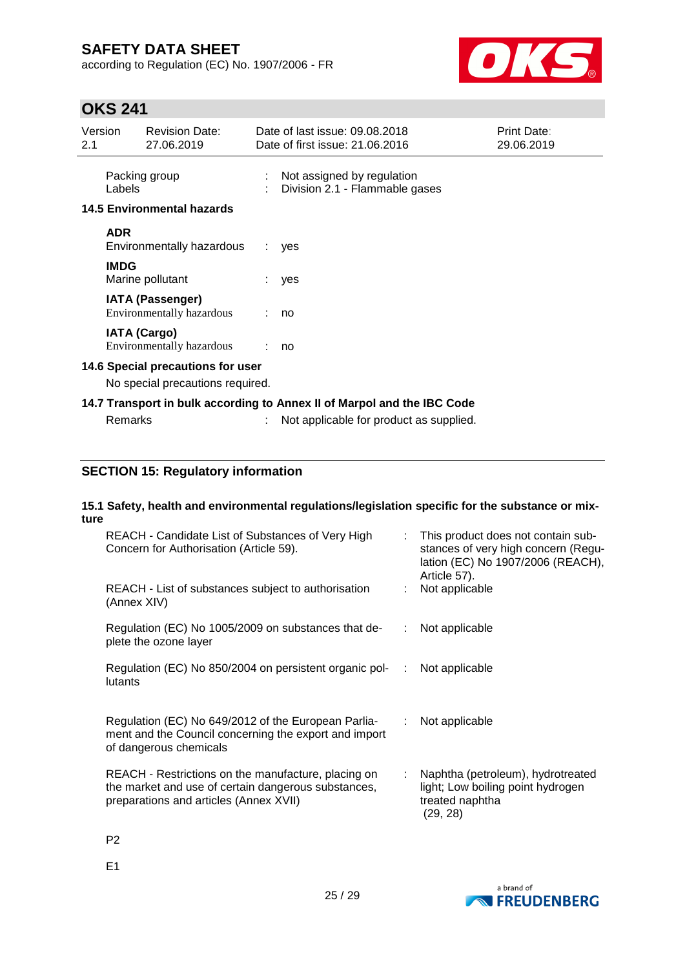according to Regulation (EC) No. 1907/2006 - FR



# **OKS 241**

E1

| Version<br>2.1 |                     | <b>Revision Date:</b><br>27.06.2019                                   | Date of last issue: 09.08.2018<br>Date of first issue: 21.06.2016       | Print Date:<br>29.06.2019 |
|----------------|---------------------|-----------------------------------------------------------------------|-------------------------------------------------------------------------|---------------------------|
|                | Labels              | Packing group<br><b>14.5 Environmental hazards</b>                    | Not assigned by regulation<br>Division 2.1 - Flammable gases            |                           |
|                |                     |                                                                       |                                                                         |                           |
|                | <b>ADR</b>          | Environmentally hazardous                                             | ves                                                                     |                           |
|                | <b>IMDG</b>         | Marine pollutant                                                      | yes                                                                     |                           |
|                |                     | <b>IATA (Passenger)</b><br>Environmentally hazardous                  | no                                                                      |                           |
|                | <b>IATA (Cargo)</b> | Environmentally hazardous                                             | no                                                                      |                           |
|                |                     | 14.6 Special precautions for user<br>No special precautions required. |                                                                         |                           |
|                |                     |                                                                       | 14.7 Transport in bulk according to Annex II of Marpol and the IBC Code |                           |
|                | <b>Remarks</b>      |                                                                       | Not applicable for product as supplied.                                 |                           |

## **SECTION 15: Regulatory information**

#### **15.1 Safety, health and environmental regulations/legislation specific for the substance or mixture**

| REACH - Candidate List of Substances of Very High<br>Concern for Authorisation (Article 59).                                                         |    | : This product does not contain sub-<br>stances of very high concern (Regu-<br>lation (EC) No 1907/2006 (REACH),<br>Article 57). |
|------------------------------------------------------------------------------------------------------------------------------------------------------|----|----------------------------------------------------------------------------------------------------------------------------------|
| REACH - List of substances subject to authorisation<br>(Annex XIV)                                                                                   |    | : Not applicable                                                                                                                 |
| Regulation (EC) No 1005/2009 on substances that de-<br>plete the ozone layer                                                                         | ÷  | Not applicable                                                                                                                   |
| Regulation (EC) No 850/2004 on persistent organic pol-<br><br>lutants                                                                                |    | Not applicable                                                                                                                   |
| Regulation (EC) No 649/2012 of the European Parlia-<br>ment and the Council concerning the export and import<br>of dangerous chemicals               |    | $:$ Not applicable                                                                                                               |
| REACH - Restrictions on the manufacture, placing on<br>the market and use of certain dangerous substances,<br>preparations and articles (Annex XVII) | ÷. | Naphtha (petroleum), hydrotreated<br>light; Low boiling point hydrogen<br>treated naphtha<br>(29, 28)                            |
| P <sub>2</sub>                                                                                                                                       |    |                                                                                                                                  |

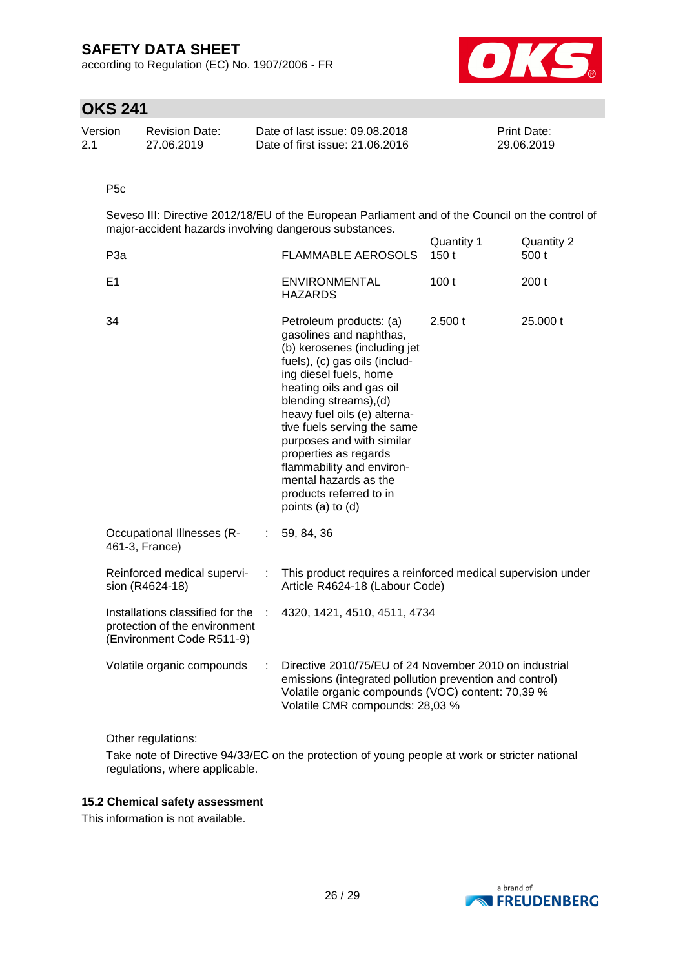according to Regulation (EC) No. 1907/2006 - FR



## **OKS 241**

| Version | <b>Revision Date:</b> | Date of last issue: 09.08.2018  | <b>Print Date:</b> |
|---------|-----------------------|---------------------------------|--------------------|
| 2.1     | 27.06.2019            | Date of first issue: 21.06.2016 | 29.06.2019         |

### P5c

Seveso III: Directive 2012/18/EU of the European Parliament and of the Council on the control of major-accident hazards involving dangerous substances.

|                                                                                                                                                                                 |    |                                                                                                                                                                                                                                                                                                                                                                                                                                | Quantity 1 | Quantity 2 |
|---------------------------------------------------------------------------------------------------------------------------------------------------------------------------------|----|--------------------------------------------------------------------------------------------------------------------------------------------------------------------------------------------------------------------------------------------------------------------------------------------------------------------------------------------------------------------------------------------------------------------------------|------------|------------|
| P <sub>3</sub> a                                                                                                                                                                |    | <b>FLAMMABLE AEROSOLS</b>                                                                                                                                                                                                                                                                                                                                                                                                      | 150t       | 500 t      |
| E1                                                                                                                                                                              |    | <b>ENVIRONMENTAL</b><br><b>HAZARDS</b>                                                                                                                                                                                                                                                                                                                                                                                         | 100t       | 200t       |
| 34                                                                                                                                                                              |    | Petroleum products: (a)<br>gasolines and naphthas,<br>(b) kerosenes (including jet<br>fuels), (c) gas oils (includ-<br>ing diesel fuels, home<br>heating oils and gas oil<br>blending streams), (d)<br>heavy fuel oils (e) alterna-<br>tive fuels serving the same<br>purposes and with similar<br>properties as regards<br>flammability and environ-<br>mental hazards as the<br>products referred to in<br>points (a) to (d) | 2.500 t    | 25,000 t   |
| <b>Occupational Illnesses (R-</b><br>461-3, France)                                                                                                                             | ÷. | 59, 84, 36                                                                                                                                                                                                                                                                                                                                                                                                                     |            |            |
| Reinforced medical supervi-<br>This product requires a reinforced medical supervision under<br>$\mathcal{I}^{\mathcal{I}}$<br>sion (R4624-18)<br>Article R4624-18 (Labour Code) |    |                                                                                                                                                                                                                                                                                                                                                                                                                                |            |            |
| Installations classified for the<br>4320, 1421, 4510, 4511, 4734<br>÷<br>protection of the environment<br>(Environment Code R511-9)                                             |    |                                                                                                                                                                                                                                                                                                                                                                                                                                |            |            |
| Volatile organic compounds                                                                                                                                                      |    | Directive 2010/75/EU of 24 November 2010 on industrial<br>emissions (integrated pollution prevention and control)<br>Volatile organic compounds (VOC) content: 70,39 %<br>Volatile CMR compounds: 28,03 %                                                                                                                                                                                                                      |            |            |

Other regulations:

Take note of Directive 94/33/EC on the protection of young people at work or stricter national regulations, where applicable.

### **15.2 Chemical safety assessment**

This information is not available.

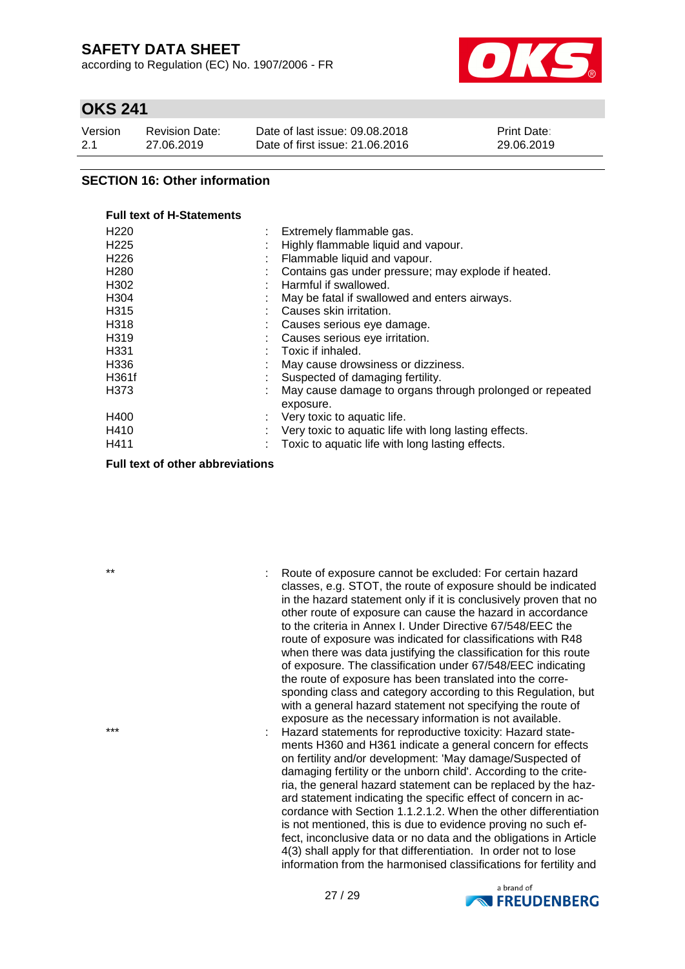according to Regulation (EC) No. 1907/2006 - FR



## **OKS 241**

| Version | <b>Revision Date:</b> | Date of last issue: 09.08.2018  | <b>Print Date:</b> |
|---------|-----------------------|---------------------------------|--------------------|
| 2.1     | 27.06.2019            | Date of first issue: 21,06,2016 | 29.06.2019         |

### **SECTION 16: Other information**

#### **Full text of H-Statements**

| Extremely flammable gas.                                              |
|-----------------------------------------------------------------------|
| Highly flammable liquid and vapour.                                   |
| Flammable liquid and vapour.                                          |
| Contains gas under pressure; may explode if heated.                   |
| Harmful if swallowed.                                                 |
| May be fatal if swallowed and enters airways.                         |
| Causes skin irritation.                                               |
| Causes serious eye damage.                                            |
| Causes serious eye irritation.                                        |
| Toxic if inhaled.                                                     |
| May cause drowsiness or dizziness.                                    |
| Suspected of damaging fertility.                                      |
| May cause damage to organs through prolonged or repeated<br>exposure. |
| Very toxic to aquatic life.                                           |
| Very toxic to aquatic life with long lasting effects.                 |
| Toxic to aquatic life with long lasting effects.                      |
|                                                                       |

### **Full text of other abbreviations**

\*\* : Route of exposure cannot be excluded: For certain hazard classes, e.g. STOT, the route of exposure should be indicated in the hazard statement only if it is conclusively proven that no other route of exposure can cause the hazard in accordance to the criteria in Annex I. Under Directive 67/548/EEC the route of exposure was indicated for classifications with R48 when there was data justifying the classification for this route of exposure. The classification under 67/548/EEC indicating the route of exposure has been translated into the corresponding class and category according to this Regulation, but with a general hazard statement not specifying the route of exposure as the necessary information is not available. \*\*\* : Hazard statements for reproductive toxicity: Hazard statements H360 and H361 indicate a general concern for effects on fertility and/or development: 'May damage/Suspected of damaging fertility or the unborn child'. According to the criteria, the general hazard statement can be replaced by the hazard statement indicating the specific effect of concern in accordance with Section 1.1.2.1.2. When the other differentiation is not mentioned, this is due to evidence proving no such effect, inconclusive data or no data and the obligations in Article 4(3) shall apply for that differentiation. In order not to lose information from the harmonised classifications for fertility and

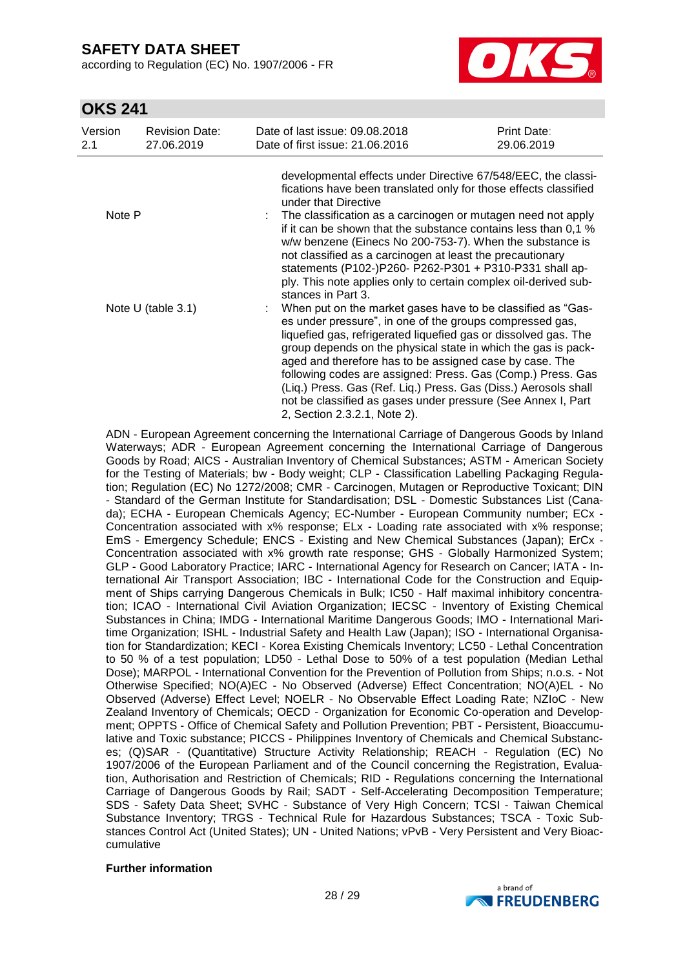according to Regulation (EC) No. 1907/2006 - FR



## **OKS 241**

| Version<br>2.1       | <b>Revision Date:</b><br>27.06.2019 | Date of last issue: 09.08.2018<br>Date of first issue: 21,06,2016                                                                                                                                                                                                                                                                                                                                                                                                                                                                                        | Print Date:<br>29.06.2019 |
|----------------------|-------------------------------------|----------------------------------------------------------------------------------------------------------------------------------------------------------------------------------------------------------------------------------------------------------------------------------------------------------------------------------------------------------------------------------------------------------------------------------------------------------------------------------------------------------------------------------------------------------|---------------------------|
| Note P               |                                     | developmental effects under Directive 67/548/EEC, the classi-<br>fications have been translated only for those effects classified<br>under that Directive                                                                                                                                                                                                                                                                                                                                                                                                |                           |
|                      |                                     | The classification as a carcinogen or mutagen need not apply<br>if it can be shown that the substance contains less than 0,1 %<br>w/w benzene (Einecs No 200-753-7). When the substance is<br>not classified as a carcinogen at least the precautionary<br>statements (P102-)P260- P262-P301 + P310-P331 shall ap-<br>ply. This note applies only to certain complex oil-derived sub-<br>stances in Part 3.                                                                                                                                              |                           |
| Note $U$ (table 3.1) |                                     | When put on the market gases have to be classified as "Gas-<br>es under pressure", in one of the groups compressed gas,<br>liquefied gas, refrigerated liquefied gas or dissolved gas. The<br>group depends on the physical state in which the gas is pack-<br>aged and therefore has to be assigned case by case. The<br>following codes are assigned: Press. Gas (Comp.) Press. Gas<br>(Lig.) Press. Gas (Ref. Lig.) Press. Gas (Diss.) Aerosols shall<br>not be classified as gases under pressure (See Annex I, Part<br>2, Section 2.3.2.1, Note 2). |                           |

ADN - European Agreement concerning the International Carriage of Dangerous Goods by Inland Waterways; ADR - European Agreement concerning the International Carriage of Dangerous Goods by Road; AICS - Australian Inventory of Chemical Substances; ASTM - American Society for the Testing of Materials; bw - Body weight; CLP - Classification Labelling Packaging Regulation; Regulation (EC) No 1272/2008; CMR - Carcinogen, Mutagen or Reproductive Toxicant; DIN - Standard of the German Institute for Standardisation; DSL - Domestic Substances List (Canada); ECHA - European Chemicals Agency; EC-Number - European Community number; ECx - Concentration associated with x% response; ELx - Loading rate associated with x% response; EmS - Emergency Schedule; ENCS - Existing and New Chemical Substances (Japan); ErCx - Concentration associated with x% growth rate response; GHS - Globally Harmonized System; GLP - Good Laboratory Practice; IARC - International Agency for Research on Cancer; IATA - International Air Transport Association; IBC - International Code for the Construction and Equipment of Ships carrying Dangerous Chemicals in Bulk; IC50 - Half maximal inhibitory concentration; ICAO - International Civil Aviation Organization; IECSC - Inventory of Existing Chemical Substances in China; IMDG - International Maritime Dangerous Goods; IMO - International Maritime Organization; ISHL - Industrial Safety and Health Law (Japan); ISO - International Organisation for Standardization; KECI - Korea Existing Chemicals Inventory; LC50 - Lethal Concentration to 50 % of a test population; LD50 - Lethal Dose to 50% of a test population (Median Lethal Dose); MARPOL - International Convention for the Prevention of Pollution from Ships; n.o.s. - Not Otherwise Specified; NO(A)EC - No Observed (Adverse) Effect Concentration; NO(A)EL - No Observed (Adverse) Effect Level; NOELR - No Observable Effect Loading Rate; NZIoC - New Zealand Inventory of Chemicals; OECD - Organization for Economic Co-operation and Development; OPPTS - Office of Chemical Safety and Pollution Prevention; PBT - Persistent, Bioaccumulative and Toxic substance; PICCS - Philippines Inventory of Chemicals and Chemical Substances; (Q)SAR - (Quantitative) Structure Activity Relationship; REACH - Regulation (EC) No 1907/2006 of the European Parliament and of the Council concerning the Registration, Evaluation, Authorisation and Restriction of Chemicals; RID - Regulations concerning the International Carriage of Dangerous Goods by Rail; SADT - Self-Accelerating Decomposition Temperature; SDS - Safety Data Sheet; SVHC - Substance of Very High Concern; TCSI - Taiwan Chemical Substance Inventory; TRGS - Technical Rule for Hazardous Substances; TSCA - Toxic Substances Control Act (United States); UN - United Nations; vPvB - Very Persistent and Very Bioaccumulative

### **Further information**